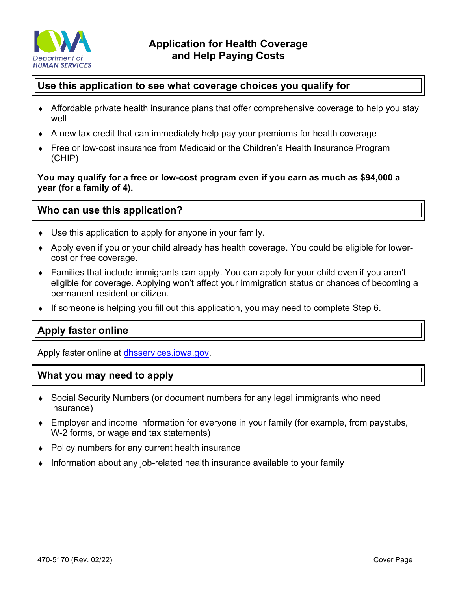

# **Use this application to see what coverage choices you qualify for**

- Affordable private health insurance plans that offer comprehensive coverage to help you stay well
- A new tax credit that can immediately help pay your premiums for health coverage
- Free or low-cost insurance from Medicaid or the Children's Health Insurance Program (CHIP)

### **You may qualify for a free or low-cost program even if you earn as much as \$94,000 a year (for a family of 4).**

# **Who can use this application?**

- Use this application to apply for anyone in your family.
- Apply even if you or your child already has health coverage. You could be eligible for lowercost or free coverage.
- Families that include immigrants can apply. You can apply for your child even if you aren't eligible for coverage. Applying won't affect your immigration status or chances of becoming a permanent resident or citizen.
- $\bullet$  If someone is helping you fill out this application, you may need to complete Step 6.

# **Apply faster online**

Apply faster online at dhsservices.iowa.gov.

# **What you may need to apply**

- Social Security Numbers (or document numbers for any legal immigrants who need insurance)
- Employer and income information for everyone in your family (for example, from paystubs, W-2 forms, or wage and tax statements)
- ◆ Policy numbers for any current health insurance
- Information about any job-related health insurance available to your family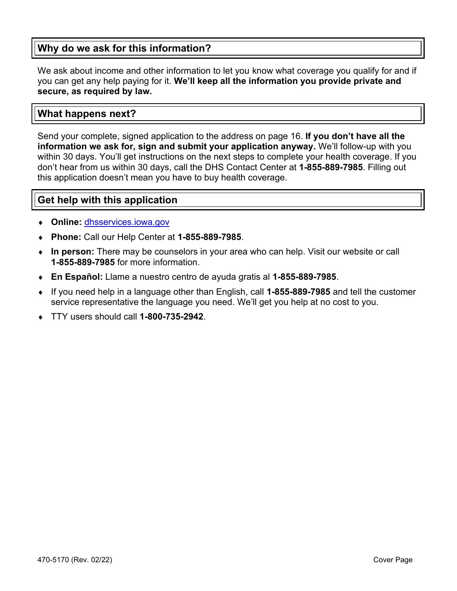# **Why do we ask for this information?**

We ask about income and other information to let you know what coverage you qualify for and if you can get any help paying for it. **We'll keep all the information you provide private and secure, as required by law.**

# **What happens next?**

Send your complete, signed application to the address on page 16. **If you don't have all the information we ask for, sign and submit your application anyway.** We'll follow-up with you within 30 days. You'll get instructions on the next steps to complete your health coverage. If you don't hear from us within 30 days, call the DHS Contact Center at **1-855-889-7985**. Filling out this application doesn't mean you have to buy health coverage.

# **Get help with this application**

- **Online:** dhsservices.iowa.gov
- **Phone:** Call our Help Center at **1-855-889-7985**.
- **In person:** There may be counselors in your area who can help. Visit our website or call **1-855-889-7985** for more information.
- **En Español:** Llame a nuestro centro de ayuda gratis al **1-855-889-7985**.
- If you need help in a language other than English, call **1-855-889-7985** and tell the customer service representative the language you need. We'll get you help at no cost to you.
- TTY users should call **1-800-735-2942**.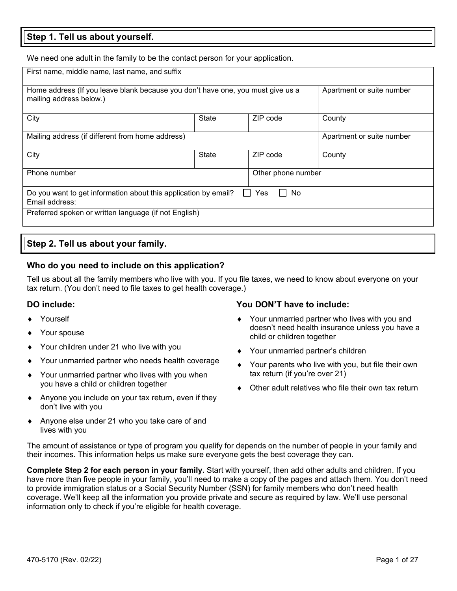# **Step 1. Tell us about yourself.**

We need one adult in the family to be the contact person for your application.

| First name, middle name, last name, and suffix                                                             |                           |          |        |  |  |
|------------------------------------------------------------------------------------------------------------|---------------------------|----------|--------|--|--|
| Home address (If you leave blank because you don't have one, you must give us a<br>mailing address below.) | Apartment or suite number |          |        |  |  |
| City                                                                                                       | <b>State</b>              | ZIP code | County |  |  |
| Mailing address (if different from home address)                                                           | Apartment or suite number |          |        |  |  |
| City                                                                                                       | <b>State</b>              | ZIP code | County |  |  |
| Phone number                                                                                               | Other phone number        |          |        |  |  |
| Do you want to get information about this application by email?<br>No<br>Yes<br>Email address:             |                           |          |        |  |  |
| Preferred spoken or written language (if not English)                                                      |                           |          |        |  |  |

# **Step 2. Tell us about your family.**

### **Who do you need to include on this application?**

Tell us about all the family members who live with you. If you file taxes, we need to know about everyone on your tax return. (You don't need to file taxes to get health coverage.)

### **DO include:**

- Yourself
- Your spouse
- Your children under 21 who live with you
- Your unmarried partner who needs health coverage
- Your unmarried partner who lives with you when you have a child or children together
- Anyone you include on your tax return, even if they don't live with you
- Anyone else under 21 who you take care of and lives with you

### **You DON'T have to include:**

- Your unmarried partner who lives with you and doesn't need health insurance unless you have a child or children together
- Your unmarried partner's children
- Your parents who live with you, but file their own tax return (if you're over 21)
- Other adult relatives who file their own tax return

The amount of assistance or type of program you qualify for depends on the number of people in your family and their incomes. This information helps us make sure everyone gets the best coverage they can.

**Complete Step 2 for each person in your family.** Start with yourself, then add other adults and children. If you have more than five people in your family, you'll need to make a copy of the pages and attach them. You don't need to provide immigration status or a Social Security Number (SSN) for family members who don't need health coverage. We'll keep all the information you provide private and secure as required by law. We'll use personal information only to check if you're eligible for health coverage.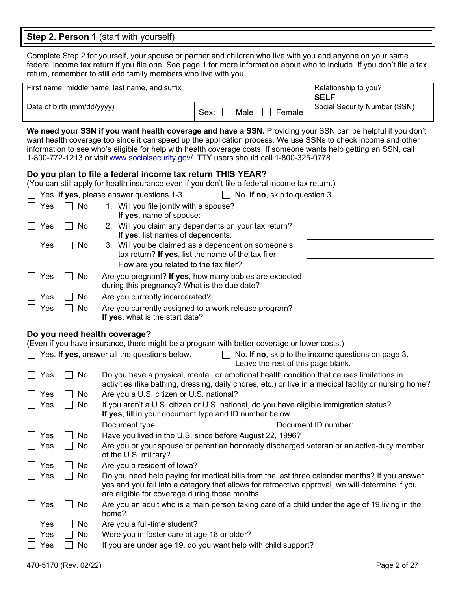# **Step 2. Person 1** (start with yourself)

Complete Step 2 for yourself, your spouse or partner and children who live with you and anyone on your same federal income tax return if you file one. See page 1 for more information about who to include. If you don't file a tax return, remember to still add family members who live with you.

| First name, middle name, last name, and suffix |                        | Relationship to you?<br><b>SELF</b> |
|------------------------------------------------|------------------------|-------------------------------------|
| Date of birth (mm/dd/yyyy)                     | Female<br>Male<br>Sex: | Social Security Number (SSN)        |

**We need your SSN if you want health coverage and have a SSN.** Providing your SSN can be helpful if you don't want health coverage too since it can speed up the application process. We use SSNs to check income and other information to see who's eligible for help with health coverage costs. If someone wants help getting an SSN, call 1-800-772-1213 or visit [www.socialsecurity.gov/.](http://www.socialsecurity.gov/) TTY users should call 1-800-325-0778.

### **Do you plan to file a federal income tax return THIS YEAR?**

(You can still apply for health insurance even if you don't file a federal income tax return.)

| $\perp$      |     |           | Yes. If yes, please answer questions 1-3.<br>No. If no, skip to question 3.<br>$\perp$                                                             |  |
|--------------|-----|-----------|----------------------------------------------------------------------------------------------------------------------------------------------------|--|
|              | Yes | $\Box$ No | 1. Will you file jointly with a spouse?<br>If yes, name of spouse:                                                                                 |  |
|              | Yes | No        | 2. Will you claim any dependents on your tax return?<br>If yes, list names of dependents:                                                          |  |
|              | Yes | No        | 3. Will you be claimed as a dependent on someone's<br>tax return? If yes, list the name of the tax filer:<br>How are you related to the tax filer? |  |
|              | Yes | No        | Are you pregnant? If yes, how many babies are expected<br>during this pregnancy? What is the due date?                                             |  |
|              | Yes | No        | Are you currently incarcerated?                                                                                                                    |  |
| $\mathbf{I}$ | Yes | No        | Are you currently assigned to a work release program?<br>If yes, what is the start date?                                                           |  |

### **Do you need health coverage?**

|     |     | (Even if you have insurance, there might be a program with better coverage or lower costs.)                                                                                                                                                       |
|-----|-----|---------------------------------------------------------------------------------------------------------------------------------------------------------------------------------------------------------------------------------------------------|
|     |     | Yes. If yes, answer all the questions below.<br>No. If no, skip to the income questions on page 3.<br>Leave the rest of this page blank.                                                                                                          |
| Yes | No. | Do you have a physical, mental, or emotional health condition that causes limitations in<br>activities (like bathing, dressing, daily chores, etc.) or live in a medical facility or nursing home?                                                |
| Yes | No. | Are you a U.S. citizen or U.S. national?                                                                                                                                                                                                          |
| Yes | No  | If you aren't a U.S. citizen or U.S. national, do you have eligible immigration status?<br>If yes, fill in your document type and ID number below.                                                                                                |
|     |     | Document ID number:<br>Document type:                                                                                                                                                                                                             |
| Yes | No. | Have you lived in the U.S. since before August 22, 1996?                                                                                                                                                                                          |
| Yes | No  | Are you or your spouse or parent an honorably discharged veteran or an active-duty member<br>of the U.S. military?                                                                                                                                |
| Yes | No. | Are you a resident of lowa?                                                                                                                                                                                                                       |
| Yes | No  | Do you need help paying for medical bills from the last three calendar months? If you answer<br>yes and you fall into a category that allows for retroactive approval, we will determine if you<br>are eligible for coverage during those months. |
| Yes | No. | Are you an adult who is a main person taking care of a child under the age of 19 living in the<br>home?                                                                                                                                           |
| Yes | No. | Are you a full-time student?                                                                                                                                                                                                                      |
| Yes | No  | Were you in foster care at age 18 or older?                                                                                                                                                                                                       |
| Yes | No  | If you are under age 19, do you want help with child support?                                                                                                                                                                                     |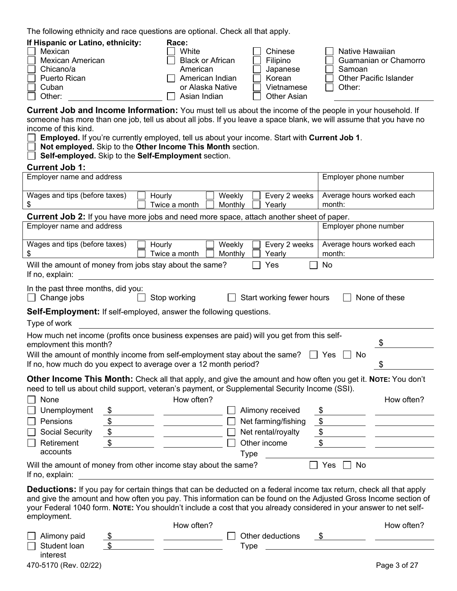The following ethnicity and race questions are optional. Check all that apply.

| If Hispanic or Latino, ethnicity:                                                                                                                                                                                                                                                                                                                                                                                                                                                                  | Race:                   |                    |                               |  |  |  |  |
|----------------------------------------------------------------------------------------------------------------------------------------------------------------------------------------------------------------------------------------------------------------------------------------------------------------------------------------------------------------------------------------------------------------------------------------------------------------------------------------------------|-------------------------|--------------------|-------------------------------|--|--|--|--|
| Mexican                                                                                                                                                                                                                                                                                                                                                                                                                                                                                            | White                   | Chinese            | Native Hawaiian               |  |  |  |  |
| Mexican American                                                                                                                                                                                                                                                                                                                                                                                                                                                                                   | <b>Black or African</b> | Filipino           | Guamanian or Chamorro         |  |  |  |  |
| Chicano/a                                                                                                                                                                                                                                                                                                                                                                                                                                                                                          | American                | Japanese           | Samoan                        |  |  |  |  |
| <b>Puerto Rican</b>                                                                                                                                                                                                                                                                                                                                                                                                                                                                                | American Indian         | Korean             | <b>Other Pacific Islander</b> |  |  |  |  |
| Cuban                                                                                                                                                                                                                                                                                                                                                                                                                                                                                              | or Alaska Native        | Vietnamese         | Other:                        |  |  |  |  |
| Other:                                                                                                                                                                                                                                                                                                                                                                                                                                                                                             | Asian Indian            | <b>Other Asian</b> |                               |  |  |  |  |
| <b>Current Job and Income Information:</b> You must tell us about the income of the people in your household. If<br>someone has more than one job, tell us about all jobs. If you leave a space blank, we will assume that you have no<br>income of this kind.<br><b>Employed.</b> If you're currently employed, tell us about your income. Start with <b>Current Job 1</b> .<br>Not employed. Skip to the Other Income This Month section.<br>Self-employed. Skip to the Self-Employment section. |                         |                    |                               |  |  |  |  |
|                                                                                                                                                                                                                                                                                                                                                                                                                                                                                                    |                         |                    |                               |  |  |  |  |

### **Current Job 1:**

| <b>Current Job 1:</b>                                                                                                                                                                                                                                                                                                                                                               |                                                                                                                                                                                                                                                                                                                     |
|-------------------------------------------------------------------------------------------------------------------------------------------------------------------------------------------------------------------------------------------------------------------------------------------------------------------------------------------------------------------------------------|---------------------------------------------------------------------------------------------------------------------------------------------------------------------------------------------------------------------------------------------------------------------------------------------------------------------|
| Employer name and address                                                                                                                                                                                                                                                                                                                                                           | Employer phone number                                                                                                                                                                                                                                                                                               |
| Wages and tips (before taxes)<br>Every 2 weeks<br>Weekly<br>Hourly<br>Twice a month<br>\$<br>Monthly<br>Yearly                                                                                                                                                                                                                                                                      | Average hours worked each<br>month:                                                                                                                                                                                                                                                                                 |
| <b>Current Job 2:</b> If you have more jobs and need more space, attach another sheet of paper.                                                                                                                                                                                                                                                                                     |                                                                                                                                                                                                                                                                                                                     |
| Employer name and address                                                                                                                                                                                                                                                                                                                                                           | Employer phone number                                                                                                                                                                                                                                                                                               |
| Wages and tips (before taxes)<br>Every 2 weeks<br>Hourly<br>Weekly<br>Twice a month<br>Monthly<br>Yearly<br>\$                                                                                                                                                                                                                                                                      | Average hours worked each<br>month:                                                                                                                                                                                                                                                                                 |
| Will the amount of money from jobs stay about the same?<br>Yes<br>If no, explain:                                                                                                                                                                                                                                                                                                   | No                                                                                                                                                                                                                                                                                                                  |
| In the past three months, did you:<br>Stop working<br>Start working fewer hours<br>Change jobs<br>$\Box$                                                                                                                                                                                                                                                                            | None of these                                                                                                                                                                                                                                                                                                       |
| <b>Self-Employment:</b> If self-employed, answer the following questions.<br>Type of work                                                                                                                                                                                                                                                                                           |                                                                                                                                                                                                                                                                                                                     |
| How much net income (profits once business expenses are paid) will you get from this self-<br>employment this month?                                                                                                                                                                                                                                                                | \$                                                                                                                                                                                                                                                                                                                  |
| Will the amount of monthly income from self-employment stay about the same?<br>If no, how much do you expect to average over a 12 month period?                                                                                                                                                                                                                                     | $\Box$ Yes<br>No.                                                                                                                                                                                                                                                                                                   |
| <b>Other Income This Month:</b> Check all that apply, and give the amount and how often you get it. NOTE: You don't<br>need to tell us about child support, veteran's payment, or Supplemental Security Income (SSI).                                                                                                                                                               |                                                                                                                                                                                                                                                                                                                     |
| How often?<br>None                                                                                                                                                                                                                                                                                                                                                                  | How often?                                                                                                                                                                                                                                                                                                          |
| Unemployment<br>Alimony received<br>\$                                                                                                                                                                                                                                                                                                                                              | \$                                                                                                                                                                                                                                                                                                                  |
| $\frac{1}{2}$<br>Net farming/fishing<br>Pensions                                                                                                                                                                                                                                                                                                                                    | $\frac{1}{2}$                                                                                                                                                                                                                                                                                                       |
| \$<br>Net rental/royalty<br>Social Security                                                                                                                                                                                                                                                                                                                                         | $\overline{\$}$                                                                                                                                                                                                                                                                                                     |
| $\frac{1}{2}$<br>Retirement<br>Other income                                                                                                                                                                                                                                                                                                                                         | $\frac{3}{2}$                                                                                                                                                                                                                                                                                                       |
| accounts<br>Type                                                                                                                                                                                                                                                                                                                                                                    |                                                                                                                                                                                                                                                                                                                     |
| Will the amount of money from other income stay about the same?<br>If no, explain:                                                                                                                                                                                                                                                                                                  | No<br>Yes                                                                                                                                                                                                                                                                                                           |
| <b>Deductions:</b> If you pay for certain things that can be deducted on a federal income tax return, check all that apply<br>and give the amount and how often you pay. This information can be found on the Adjusted Gross Income section of<br>your Federal 1040 form. NOTE: You shouldn't include a cost that you already considered in your answer to net self-<br>employment. |                                                                                                                                                                                                                                                                                                                     |
| How often?                                                                                                                                                                                                                                                                                                                                                                          | How often?                                                                                                                                                                                                                                                                                                          |
| Other deductions<br>Alimony paid                                                                                                                                                                                                                                                                                                                                                    | $\frac{1}{2}$ $\frac{1}{2}$ $\frac{1}{2}$ $\frac{1}{2}$ $\frac{1}{2}$ $\frac{1}{2}$ $\frac{1}{2}$ $\frac{1}{2}$ $\frac{1}{2}$ $\frac{1}{2}$ $\frac{1}{2}$ $\frac{1}{2}$ $\frac{1}{2}$ $\frac{1}{2}$ $\frac{1}{2}$ $\frac{1}{2}$ $\frac{1}{2}$ $\frac{1}{2}$ $\frac{1}{2}$ $\frac{1}{2}$ $\frac{1}{2}$ $\frac{1}{2}$ |
| Student Ioan<br>\$<br>Type<br><u>and the state of the state of the state</u><br>interest                                                                                                                                                                                                                                                                                            |                                                                                                                                                                                                                                                                                                                     |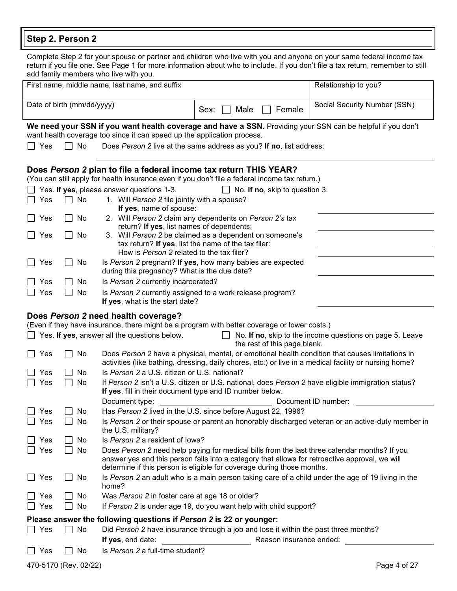# **Step 2. Person 2**

Complete Step 2 for your spouse or partner and children who live with you and anyone on your same federal income tax return if you file one. See Page 1 for more information about who to include. If you don't file a tax return, remember to still add family members who live with you.

| First name, middle name, last name, and suffix |                        | Relationship to you?         |
|------------------------------------------------|------------------------|------------------------------|
| Date of birth (mm/dd/yyyy)                     | Male<br>Sex:<br>Female | Social Security Number (SSN) |

**We need your SSN if you want health coverage and have a SSN.** Providing your SSN can be helpful if you don't want health coverage too since it can speed up the application process.

Yes No Does *Person 2* live at the same address as you? **If no**, list address:

# **Does** *Person 2* **plan to file a federal income tax return THIS YEAR?**

(You can still apply for health insurance even if you don't file a federal income tax return.)

|        |     |     | $\frac{1}{2}$ . Our during the modification in the contract of the contract of the contract $\frac{1}{2}$          |
|--------|-----|-----|--------------------------------------------------------------------------------------------------------------------|
|        |     |     | $\Box$ No. If no, skip to question 3.<br>Yes. If yes, please answer questions 1-3.                                 |
|        | Yes | No  | 1. Will Person 2 file jointly with a spouse?                                                                       |
|        |     |     | If yes, name of spouse:                                                                                            |
| $\Box$ | Yes | No  | 2. Will Person 2 claim any dependents on Person 2's tax                                                            |
|        |     |     | return? If yes, list names of dependents:                                                                          |
| _ Yes  |     | No  | 3. Will Person 2 be claimed as a dependent on someone's                                                            |
|        |     |     | tax return? If yes, list the name of the tax filer:<br>How is Person 2 related to the tax filer?                   |
|        |     |     |                                                                                                                    |
|        | Yes | No  | Is Person 2 pregnant? If yes, how many babies are expected                                                         |
|        |     |     | during this pregnancy? What is the due date?                                                                       |
|        | Yes | No  | Is Person 2 currently incarcerated?                                                                                |
|        | Yes | No  | Is Person 2 currently assigned to a work release program?                                                          |
|        |     |     | If yes, what is the start date?                                                                                    |
|        |     |     | Does Person 2 need health coverage?                                                                                |
|        |     |     | (Even if they have insurance, there might be a program with better coverage or lower costs.)                       |
|        |     |     | Yes. If yes, answer all the questions below.<br>$\Box$<br>No. If no, skip to the income questions on page 5. Leave |
|        |     |     | the rest of this page blank.                                                                                       |
|        | Yes | No  | Does Person 2 have a physical, mental, or emotional health condition that causes limitations in                    |
|        |     |     | activities (like bathing, dressing, daily chores, etc.) or live in a medical facility or nursing home?             |
|        | Yes | No  | Is Person 2 a U.S. citizen or U.S. national?                                                                       |
|        | Yes | No  | If Person 2 isn't a U.S. citizen or U.S. national, does Person 2 have eligible immigration status?                 |
|        |     |     | If yes, fill in their document type and ID number below.                                                           |
|        |     |     | Document type:<br>Document ID number:                                                                              |
|        | Yes | No. | Has Person 2 lived in the U.S. since before August 22, 1996?                                                       |
|        | Yes | No  | Is Person 2 or their spouse or parent an honorably discharged veteran or an active-duty member in                  |
|        |     |     | the U.S. military?                                                                                                 |
|        | Yes | No  | Is Person 2 a resident of lowa?                                                                                    |
| $\Box$ | Yes | No  | Does Person 2 need help paying for medical bills from the last three calendar months? If you                       |
|        |     |     | answer yes and this person falls into a category that allows for retroactive approval, we will                     |
|        |     |     | determine if this person is eligible for coverage during those months.                                             |
|        | Yes | No  | Is Person 2 an adult who is a main person taking care of a child under the age of 19 living in the                 |
|        |     |     | home?                                                                                                              |

- Yes No Was *Person 2* in foster care at age 18 or older?
- $\Box$  Yes  $\Box$  No If *Person 2* is under age 19, do you want help with child support?

### **Please answer the following questions if** *Person 2* **is 22 or younger:**

 $\Box$  Yes  $\Box$  No Did *Person 2* have insurance through a job and lose it within the past three months? **If yes**, end date: **Reason insurance ended:** Reason insurance ended:

□ Yes □ No Is *Person* 2 a full-time student?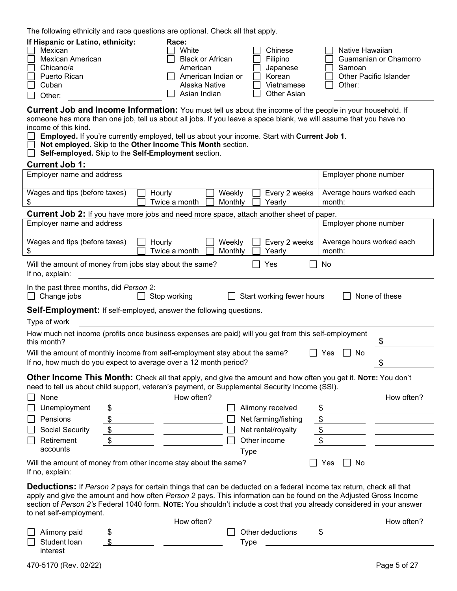The following ethnicity and race questions are optional. Check all that apply.

| If Hispanic or Latino, ethnicity:                                                                               | Race:                   |                    |                               |
|-----------------------------------------------------------------------------------------------------------------|-------------------------|--------------------|-------------------------------|
| Mexican                                                                                                         | White                   | Chinese            | Native Hawaiian               |
| Mexican American                                                                                                | <b>Black or African</b> | Filipino           | Guamanian or Chamorro         |
| Chicano/a                                                                                                       | American                | Japanese           | Samoan                        |
| Puerto Rican                                                                                                    | American Indian or      | Korean             | <b>Other Pacific Islander</b> |
| Cuban                                                                                                           | Alaska Native           | Vietnamese         | Other:                        |
| $\Box$ Other:                                                                                                   | Asian Indian            | <b>Other Asian</b> |                               |
| <b>Occupant lake and line and lufamination</b> Macauch (Harrist Charles Charles Charles Charles Charles Harrist |                         |                    |                               |

**Current Job and Income Information:** You must tell us about the income of the people in your household. If someone has more than one job, tell us about all jobs. If you leave a space blank, we will assume that you have no income of this kind.

|  |  | <b>Employed.</b> If you're currently employed, tell us about your income. Start with Current Job 1. |  |  |  |  |  |  |
|--|--|-----------------------------------------------------------------------------------------------------|--|--|--|--|--|--|
|--|--|-----------------------------------------------------------------------------------------------------|--|--|--|--|--|--|

- П **Not employed.** Skip to the **Other Income This Month** section.
	- **Self-employed.** Skip to the **Self-Employment** section.

### **Current Job 1:**

| <b>Current Job 1:</b>                                            |                                                                                                                                                                                                                                                                                                                                                                           |                                              |                                     |
|------------------------------------------------------------------|---------------------------------------------------------------------------------------------------------------------------------------------------------------------------------------------------------------------------------------------------------------------------------------------------------------------------------------------------------------------------|----------------------------------------------|-------------------------------------|
| Employer name and address                                        |                                                                                                                                                                                                                                                                                                                                                                           |                                              | Employer phone number               |
| Wages and tips (before taxes)<br>\$                              | Hourly<br>Twice a month                                                                                                                                                                                                                                                                                                                                                   | Every 2 weeks<br>Weekly<br>Monthly<br>Yearly | Average hours worked each<br>month: |
|                                                                  | <b>Current Job 2:</b> If you have more jobs and need more space, attach another sheet of paper.                                                                                                                                                                                                                                                                           |                                              |                                     |
| Employer name and address                                        |                                                                                                                                                                                                                                                                                                                                                                           |                                              | Employer phone number               |
| Wages and tips (before taxes)<br>\$                              | Hourly<br>Twice a month                                                                                                                                                                                                                                                                                                                                                   | Weekly<br>Every 2 weeks<br>Monthly<br>Yearly | Average hours worked each<br>month: |
| If no, explain:                                                  | Will the amount of money from jobs stay about the same?                                                                                                                                                                                                                                                                                                                   | Yes                                          | No                                  |
| In the past three months, did Person 2:<br>Change jobs<br>$\Box$ | Stop working                                                                                                                                                                                                                                                                                                                                                              | Start working fewer hours                    | None of these                       |
|                                                                  | <b>Self-Employment:</b> If self-employed, answer the following questions.                                                                                                                                                                                                                                                                                                 |                                              |                                     |
| Type of work                                                     |                                                                                                                                                                                                                                                                                                                                                                           |                                              |                                     |
| this month?                                                      | How much net income (profits once business expenses are paid) will you get from this self-employment                                                                                                                                                                                                                                                                      |                                              | \$                                  |
|                                                                  | Will the amount of monthly income from self-employment stay about the same?<br>If no, how much do you expect to average over a 12 month period?                                                                                                                                                                                                                           |                                              | <b>Yes</b><br>∣ No                  |
|                                                                  | <b>Other Income This Month:</b> Check all that apply, and give the amount and how often you get it. Note: You don't<br>need to tell us about child support, veteran's payment, or Supplemental Security Income (SSI).                                                                                                                                                     |                                              |                                     |
| None                                                             | How often?                                                                                                                                                                                                                                                                                                                                                                |                                              | How often?                          |
| Unemployment                                                     | \$                                                                                                                                                                                                                                                                                                                                                                        | Alimony received                             | \$                                  |
| Pensions                                                         | \$                                                                                                                                                                                                                                                                                                                                                                        | Net farming/fishing                          | \$                                  |
| Social Security                                                  | \$                                                                                                                                                                                                                                                                                                                                                                        | Net rental/royalty                           | \$                                  |
| Retirement                                                       | \$                                                                                                                                                                                                                                                                                                                                                                        | Other income                                 | \$                                  |
| accounts                                                         |                                                                                                                                                                                                                                                                                                                                                                           | <b>Type</b>                                  |                                     |
| If no, explain:                                                  | Will the amount of money from other income stay about the same?                                                                                                                                                                                                                                                                                                           |                                              | Yes<br>No                           |
| to net self-employment.                                          | <b>Deductions:</b> If Person 2 pays for certain things that can be deducted on a federal income tax return, check all that<br>apply and give the amount and how often Person 2 pays. This information can be found on the Adjusted Gross Income<br>section of Person 2's Federal 1040 form. NOTE: You shouldn't include a cost that you already considered in your answer |                                              |                                     |
|                                                                  | How often?                                                                                                                                                                                                                                                                                                                                                                |                                              | How often?                          |
| Alimony paid                                                     |                                                                                                                                                                                                                                                                                                                                                                           | Other deductions                             | \$.                                 |
| Student loan                                                     | \$                                                                                                                                                                                                                                                                                                                                                                        | Type                                         |                                     |

interest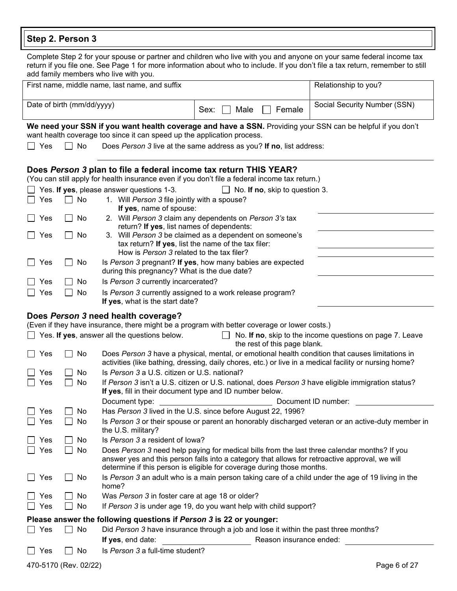# **Step 2. Person 3**

Complete Step 2 for your spouse or partner and children who live with you and anyone on your same federal income tax return if you file one. See Page 1 for more information about who to include. If you don't file a tax return, remember to still add family members who live with you.

| First name, middle name, last name, and suffix |                        | Relationship to you?         |
|------------------------------------------------|------------------------|------------------------------|
| Date of birth (mm/dd/yyyy)                     | Male<br>Female<br>Sex: | Social Security Number (SSN) |

**We need your SSN if you want health coverage and have a SSN.** Providing your SSN can be helpful if you don't want health coverage too since it can speed up the application process.

Yes No Does *Person 3* live at the same address as you? **If no**, list address:

### **Does** *Person 3* **plan to file a federal income tax return THIS YEAR?**

(You can still apply for health insurance even if you don't file a federal income tax return.)

|            |                    | $\Box$ No. If no, skip to question 3.<br>Yes. If yes, please answer questions 1-3.                                                                                       |
|------------|--------------------|--------------------------------------------------------------------------------------------------------------------------------------------------------------------------|
| Yes        | No                 | 1. Will Person 3 file jointly with a spouse?                                                                                                                             |
|            |                    | If yes, name of spouse:                                                                                                                                                  |
| $\Box$ Yes | No                 | 2. Will Person 3 claim any dependents on Person 3's tax                                                                                                                  |
|            |                    | return? If yes, list names of dependents:                                                                                                                                |
| $\Box$ Yes | $\Box$ No          | 3. Will Person 3 be claimed as a dependent on someone's                                                                                                                  |
|            |                    | tax return? If yes, list the name of the tax filer:<br>How is Person 3 related to the tax filer?                                                                         |
| Yes        | No                 | Is Person 3 pregnant? If yes, how many babies are expected                                                                                                               |
|            |                    | during this pregnancy? What is the due date?                                                                                                                             |
| Yes        | No                 | Is Person 3 currently incarcerated?                                                                                                                                      |
| Yes        | No                 | Is Person 3 currently assigned to a work release program?                                                                                                                |
|            |                    | If yes, what is the start date?                                                                                                                                          |
|            |                    | Does Person 3 need health coverage?                                                                                                                                      |
|            |                    | (Even if they have insurance, there might be a program with better coverage or lower costs.)                                                                             |
|            |                    | Yes. If yes, answer all the questions below.<br>No. If no, skip to the income questions on page 7. Leave<br>the rest of this page blank.                                 |
| ∐ Yes      | No                 | Does Person 3 have a physical, mental, or emotional health condition that causes limitations in                                                                          |
|            |                    | activities (like bathing, dressing, daily chores, etc.) or live in a medical facility or nursing home?                                                                   |
| Yes        | No                 | Is Person 3 a U.S. citizen or U.S. national?                                                                                                                             |
| Yes        | No<br>$\mathsf{L}$ | If Person 3 isn't a U.S. citizen or U.S. national, does Person 3 have eligible immigration status?                                                                       |
|            |                    | If yes, fill in their document type and ID number below.                                                                                                                 |
|            |                    | Document type:<br>Document ID number:                                                                                                                                    |
| Yes        | No                 | Has Person 3 lived in the U.S. since before August 22, 1996?                                                                                                             |
| Yes        | No                 | Is Person 3 or their spouse or parent an honorably discharged veteran or an active-duty member in<br>the U.S. military?                                                  |
| Yes        | No                 | Is Person 3 a resident of lowa?                                                                                                                                          |
| $\Box$ Yes | No<br>$\mathsf{L}$ | Does Person 3 need help paying for medical bills from the last three calendar months? If you                                                                             |
|            |                    | answer yes and this person falls into a category that allows for retroactive approval, we will<br>determine if this person is eligible for coverage during those months. |
| Yes        | No                 | Is Person 3 an adult who is a main person taking care of a child under the age of 19 living in the                                                                       |

|  |  |  | Please answer the following questions if Person 3 is 22 or younger: |  |
|--|--|--|---------------------------------------------------------------------|--|
|  |  |  |                                                                     |  |



home?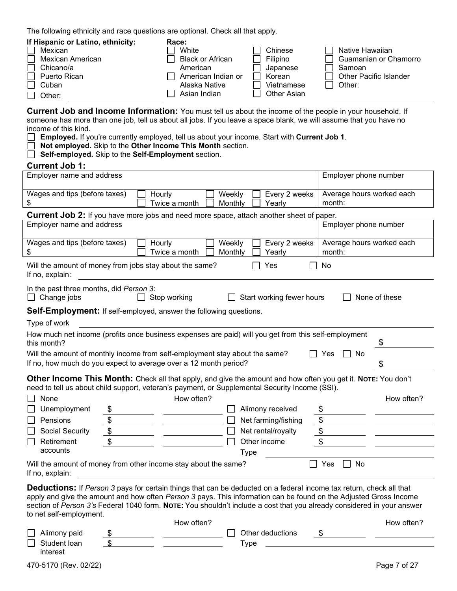The following ethnicity and race questions are optional. Check all that apply.

| If Hispanic or Latino, ethnicity: | Race:                   |                    |                               |  |  |  |
|-----------------------------------|-------------------------|--------------------|-------------------------------|--|--|--|
| Mexican                           | White                   | Chinese            | Native Hawaiian               |  |  |  |
| Mexican American                  | <b>Black or African</b> | Filipino           | Guamanian or Chamorro         |  |  |  |
| Chicano/a                         | American                | Japanese           | Samoan                        |  |  |  |
| Puerto Rican                      | American Indian or      | Korean             | <b>Other Pacific Islander</b> |  |  |  |
| Cuban                             | Alaska Native           | Vietnamese         | Other:                        |  |  |  |
| Other:                            | Asian Indian            | <b>Other Asian</b> |                               |  |  |  |

**Current Job and Income Information:** You must tell us about the income of the people in your household. If someone has more than one job, tell us about all jobs. If you leave a space blank, we will assume that you have no income of this kind.

- **Not employed.** Skip to the **Other Income This Month** section.
- **Self-employed.** Skip to the **Self-Employment** section.

### **Current Job 1:**

| יו טטט ווסוונט                                                                                                                                                                                                                                                                                                                                                                                       |                                           |
|------------------------------------------------------------------------------------------------------------------------------------------------------------------------------------------------------------------------------------------------------------------------------------------------------------------------------------------------------------------------------------------------------|-------------------------------------------|
| Employer name and address                                                                                                                                                                                                                                                                                                                                                                            | Employer phone number                     |
| Wages and tips (before taxes)<br>Every 2 weeks<br>Hourly<br>Weekly<br>Twice a month<br>Monthly<br>Yearly<br>\$                                                                                                                                                                                                                                                                                       | Average hours worked each<br>month:       |
| Current Job 2: If you have more jobs and need more space, attach another sheet of paper.                                                                                                                                                                                                                                                                                                             |                                           |
| Employer name and address                                                                                                                                                                                                                                                                                                                                                                            | Employer phone number                     |
| Wages and tips (before taxes)<br>Hourly<br>Weekly<br>Every 2 weeks<br>Twice a month<br>\$<br>Monthly<br>Yearly                                                                                                                                                                                                                                                                                       | Average hours worked each<br>month:       |
| Will the amount of money from jobs stay about the same?<br>Yes<br>If no, explain:                                                                                                                                                                                                                                                                                                                    | No                                        |
| In the past three months, did Person 3:<br>Change jobs<br>Stop working<br>Start working fewer hours<br>$\overline{\phantom{a}}$                                                                                                                                                                                                                                                                      | None of these                             |
| <b>Self-Employment:</b> If self-employed, answer the following questions.                                                                                                                                                                                                                                                                                                                            |                                           |
| Type of work                                                                                                                                                                                                                                                                                                                                                                                         |                                           |
| How much net income (profits once business expenses are paid) will you get from this self-employment<br>this month?                                                                                                                                                                                                                                                                                  | \$                                        |
| Will the amount of monthly income from self-employment stay about the same?<br>If no, how much do you expect to average over a 12 month period?                                                                                                                                                                                                                                                      | Yes<br>No                                 |
| <b>Other Income This Month:</b> Check all that apply, and give the amount and how often you get it. Note: You don't<br>need to tell us about child support, veteran's payment, or Supplemental Security Income (SSI).                                                                                                                                                                                |                                           |
| How often?<br>None                                                                                                                                                                                                                                                                                                                                                                                   | How often?                                |
| Unemployment<br>Alimony received                                                                                                                                                                                                                                                                                                                                                                     | \$                                        |
| \$<br>Pensions<br>Net farming/fishing                                                                                                                                                                                                                                                                                                                                                                | $\, \, \raisebox{12pt}{$\scriptstyle \$}$ |
| $\overline{\$}$<br>Social Security<br>Net rental/royalty                                                                                                                                                                                                                                                                                                                                             | $\frac{1}{2}$                             |
| \$<br>Retirement<br>Other income                                                                                                                                                                                                                                                                                                                                                                     | $\mathfrak{S}$                            |
| accounts<br>Type                                                                                                                                                                                                                                                                                                                                                                                     |                                           |
| Will the amount of money from other income stay about the same?<br>If no, explain:                                                                                                                                                                                                                                                                                                                   | Yes<br>No                                 |
| <b>Deductions:</b> If Person 3 pays for certain things that can be deducted on a federal income tax return, check all that<br>apply and give the amount and how often Person 3 pays. This information can be found on the Adjusted Gross Income<br>section of Person 3's Federal 1040 form. NOTE: You shouldn't include a cost that you already considered in your answer<br>to net self-employment. |                                           |

|              | How often?          | How often? |
|--------------|---------------------|------------|
| Alimony paid | Other deductions    |            |
| Student loan | $\tau_\mathsf{ype}$ |            |
| interest     |                     |            |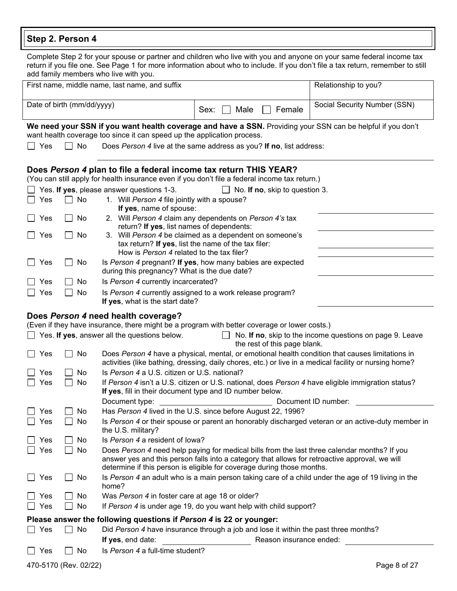# **Step 2. Person 4**

Complete Step 2 for your spouse or partner and children who live with you and anyone on your same federal income tax return if you file one. See Page 1 for more information about who to include. If you don't file a tax return, remember to still add family members who live with you.

| First name, middle name, last name, and suffix |                        | Relationship to you?         |
|------------------------------------------------|------------------------|------------------------------|
| Date of birth (mm/dd/yyyy)                     | Female<br>Male<br>Sex: | Social Security Number (SSN) |

**We need your SSN if you want health coverage and have a SSN.** Providing your SSN can be helpful if you don't want health coverage too since it can speed up the application process.

Yes No Does *Person 4* live at the same address as you? **If no**, list address:

# **Does** *Person 4* **plan to file a federal income tax return THIS YEAR?**

(You can still apply for health insurance even if you don't file a federal income tax return.)

|                          |        |     | $\Box$ No. If no, skip to question 3.<br>Yes. If yes, please answer questions 1-3.                         |
|--------------------------|--------|-----|------------------------------------------------------------------------------------------------------------|
|                          | Yes    | No  | 1. Will Person 4 file jointly with a spouse?                                                               |
|                          |        |     | If yes, name of spouse:                                                                                    |
|                          | _  Yes | No  | 2. Will Person 4 claim any dependents on Person 4's tax                                                    |
|                          |        |     | return? If yes, list names of dependents:                                                                  |
| $\Box$                   | Yes    | No  | 3. Will Person 4 be claimed as a dependent on someone's                                                    |
|                          |        |     | tax return? If yes, list the name of the tax filer:                                                        |
|                          |        |     | How is Person 4 related to the tax filer?                                                                  |
| $\blacksquare$           | Yes    | No  | Is Person 4 pregnant? If yes, how many babies are expected<br>during this pregnancy? What is the due date? |
|                          |        |     |                                                                                                            |
|                          | Yes    | No  | Is Person 4 currently incarcerated?                                                                        |
|                          | Yes    | No  | Is Person 4 currently assigned to a work release program?                                                  |
|                          |        |     | If yes, what is the start date?                                                                            |
|                          |        |     | Does Person 4 need health coverage?                                                                        |
|                          |        |     | (Even if they have insurance, there might be a program with better coverage or lower costs.)               |
|                          |        |     | Yes. If yes, answer all the questions below.<br>No. If no, skip to the income questions on page 9. Leave   |
|                          |        |     | the rest of this page blank.                                                                               |
| $\overline{\phantom{a}}$ | Yes    | No  | Does Person 4 have a physical, mental, or emotional health condition that causes limitations in            |
|                          |        |     | activities (like bathing, dressing, daily chores, etc.) or live in a medical facility or nursing home?     |
|                          | Yes    | No. | Is Person 4 a U.S. citizen or U.S. national?                                                               |
|                          | Yes    | No  | If Person 4 isn't a U.S. citizen or U.S. national, does Person 4 have eligible immigration status?         |
|                          |        |     | If yes, fill in their document type and ID number below.                                                   |
|                          |        |     | Document type:<br>Document ID number:                                                                      |
|                          | Yes    | No  | Has Person 4 lived in the U.S. since before August 22, 1996?                                               |
|                          | Yes    | No  | Is Person 4 or their spouse or parent an honorably discharged veteran or an active-duty member in          |
|                          |        |     | the U.S. military?                                                                                         |
|                          | Yes    | No  | Is Person 4 a resident of lowa?                                                                            |
|                          | Yes    | No  | Does Person 4 need help paying for medical bills from the last three calendar months? If you               |
|                          |        |     | answer yes and this person falls into a category that allows for retroactive approval, we will             |
|                          |        |     | determine if this person is eligible for coverage during those months.                                     |
|                          | Yes    | No  | Is Person 4 an adult who is a main person taking care of a child under the age of 19 living in the         |

■ Yes ■ No Was *Person 4* in foster care at age 18 or older?

|  | $\vert$ Yes $\Box$ No If Person 4 is under age 19, do you want help with child support? |
|--|-----------------------------------------------------------------------------------------|
|  |                                                                                         |

### **Please answer the following questions if** *Person 4* **is 22 or younger:**

| $\Box$ Yes $\Box$ No |                          | Did Person 4 have insurance through a job and lose it within the past three months? |  |  |
|----------------------|--------------------------|-------------------------------------------------------------------------------------|--|--|
|                      | <b>If yes, end date:</b> | Reason insurance ended:                                                             |  |  |

 $\Box$  Yes  $\Box$  No Is *Person 4* a full-time student?

home?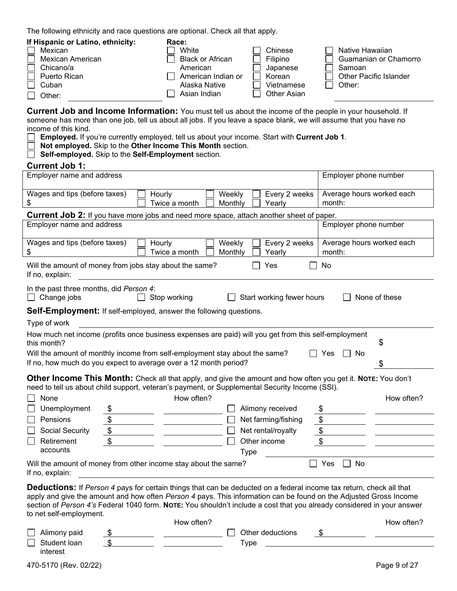The following ethnicity and race questions are optional. Check all that apply.

| If Hispanic or Latino, ethnicity: | Race:              |                    |                               |  |  |  |
|-----------------------------------|--------------------|--------------------|-------------------------------|--|--|--|
| Mexican                           | White              | Chinese            | Native Hawaiian               |  |  |  |
| Mexican American                  | Black or African   | Filipino           | Guamanian or Chamorro         |  |  |  |
| Chicano/a                         | American           | Japanese           | Samoan                        |  |  |  |
| Puerto Rican                      | American Indian or | Korean             | <b>Other Pacific Islander</b> |  |  |  |
| Cuban                             | Alaska Native      | Vietnamese         | Other:                        |  |  |  |
| Other:                            | Asian Indian       | <b>Other Asian</b> |                               |  |  |  |

**Current Job and Income Information:** You must tell us about the income of the people in your household. If someone has more than one job, tell us about all jobs. If you leave a space blank, we will assume that you have no income of this kind.

- **Not employed.** Skip to the **Other Income This Month** section.
- **Self-employed.** Skip to the **Self-Employment** section.

### **Current Job 1:**

| ounent Jobin.                                                                                                                                                                                                                                                                                                                                                                                        |                                     |
|------------------------------------------------------------------------------------------------------------------------------------------------------------------------------------------------------------------------------------------------------------------------------------------------------------------------------------------------------------------------------------------------------|-------------------------------------|
| Employer name and address                                                                                                                                                                                                                                                                                                                                                                            | Employer phone number               |
| Wages and tips (before taxes)<br>Every 2 weeks<br>Hourly<br>Weekly<br>Twice a month<br>Monthly<br>\$<br>Yearly                                                                                                                                                                                                                                                                                       | Average hours worked each<br>month: |
| <b>Current Job 2:</b> If you have more jobs and need more space, attach another sheet of paper.                                                                                                                                                                                                                                                                                                      |                                     |
| Employer name and address                                                                                                                                                                                                                                                                                                                                                                            | Employer phone number               |
| Wages and tips (before taxes)<br>Every 2 weeks<br>Hourly<br>Weekly<br>Twice a month<br>\$<br>Monthly<br>Yearly                                                                                                                                                                                                                                                                                       | Average hours worked each<br>month: |
| Will the amount of money from jobs stay about the same?<br>Yes<br>If no, explain:                                                                                                                                                                                                                                                                                                                    | No                                  |
| In the past three months, did Person 4:<br>Start working fewer hours<br>$\Box$ Change jobs<br>Stop working                                                                                                                                                                                                                                                                                           | None of these                       |
| <b>Self-Employment:</b> If self-employed, answer the following questions.                                                                                                                                                                                                                                                                                                                            |                                     |
| Type of work                                                                                                                                                                                                                                                                                                                                                                                         |                                     |
| How much net income (profits once business expenses are paid) will you get from this self-employment<br>this month?                                                                                                                                                                                                                                                                                  | \$                                  |
| Will the amount of monthly income from self-employment stay about the same?<br>If no, how much do you expect to average over a 12 month period?                                                                                                                                                                                                                                                      | Yes<br>No                           |
| <b>Other Income This Month:</b> Check all that apply, and give the amount and how often you get it. Note: You don't<br>need to tell us about child support, veteran's payment, or Supplemental Security Income (SSI).                                                                                                                                                                                |                                     |
| How often?<br>None                                                                                                                                                                                                                                                                                                                                                                                   | How often?                          |
| Unemployment<br>Alimony received                                                                                                                                                                                                                                                                                                                                                                     | \$                                  |
| $\, \, \raisebox{12pt}{$\scriptstyle \$}$<br>Pensions<br>Net farming/fishing                                                                                                                                                                                                                                                                                                                         | $\boldsymbol{\$}$                   |
| $\overline{\$}$<br>Social Security<br>Net rental/royalty                                                                                                                                                                                                                                                                                                                                             | $\boldsymbol{\$}$                   |
| $\mathfrak{P}$<br>Retirement<br>Other income                                                                                                                                                                                                                                                                                                                                                         | $\mathfrak{S}$                      |
| accounts<br><b>Type</b>                                                                                                                                                                                                                                                                                                                                                                              |                                     |
| Will the amount of money from other income stay about the same?<br>If no, explain:                                                                                                                                                                                                                                                                                                                   | No<br>Yes                           |
| <b>Deductions:</b> If Person 4 pays for certain things that can be deducted on a federal income tax return, check all that<br>apply and give the amount and how often Person 4 pays. This information can be found on the Adjusted Gross Income<br>section of Person 4's Federal 1040 form. NOTE: You shouldn't include a cost that you already considered in your answer<br>to net self-employment. |                                     |

|              |      | How often?            | How often? |
|--------------|------|-----------------------|------------|
| Alimony paid | ٠n   | Other deductions      |            |
| Student loan | - 13 | $\tau_{\texttt{ype}}$ |            |
| interest     |      |                       |            |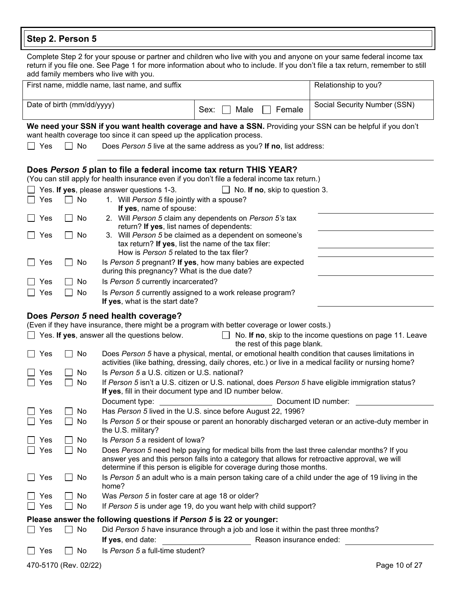# **Step 2. Person 5**

Complete Step 2 for your spouse or partner and children who live with you and anyone on your same federal income tax return if you file one. See Page 1 for more information about who to include. If you don't file a tax return, remember to still add family members who live with you.

| First name, middle name, last name, and suffix |                        | Relationship to you?         |
|------------------------------------------------|------------------------|------------------------------|
| Date of birth (mm/dd/yyyy)                     | Female<br>Male<br>Sex: | Social Security Number (SSN) |

**We need your SSN if you want health coverage and have a SSN.** Providing your SSN can be helpful if you don't want health coverage too since it can speed up the application process.

 $\Box$  Yes  $\Box$  No Does *Person 5* live at the same address as you? **If no**, list address:

### **Does** *Person 5* **plan to file a federal income tax return THIS YEAR?**

(You can still apply for health insurance even if you don't file a federal income tax return.)

|            |                    | $\Box$ No. If no, skip to question 3.<br>Yes. If yes, please answer questions 1-3.                                                                                                                        |
|------------|--------------------|-----------------------------------------------------------------------------------------------------------------------------------------------------------------------------------------------------------|
| Yes        | No<br>$\mathsf{L}$ | 1. Will Person 5 file jointly with a spouse?                                                                                                                                                              |
|            |                    | If yes, name of spouse:                                                                                                                                                                                   |
| $\Box$ Yes | No                 | 2. Will Person 5 claim any dependents on Person 5's tax                                                                                                                                                   |
|            |                    | return? If yes, list names of dependents:                                                                                                                                                                 |
| $\Box$ Yes | No                 | 3. Will Person 5 be claimed as a dependent on someone's                                                                                                                                                   |
|            |                    | tax return? If yes, list the name of the tax filer:<br>How is Person 5 related to the tax filer?                                                                                                          |
| Yes        | No                 | Is Person 5 pregnant? If yes, how many babies are expected                                                                                                                                                |
|            |                    | during this pregnancy? What is the due date?                                                                                                                                                              |
| Yes        | No                 | Is Person 5 currently incarcerated?                                                                                                                                                                       |
| Yes        | No                 | Is Person 5 currently assigned to a work release program?                                                                                                                                                 |
|            |                    | If yes, what is the start date?                                                                                                                                                                           |
|            |                    | Does Person 5 need health coverage?                                                                                                                                                                       |
|            |                    | (Even if they have insurance, there might be a program with better coverage or lower costs.)                                                                                                              |
|            |                    | Yes. If yes, answer all the questions below.<br>$\Box$<br>No. If no, skip to the income questions on page 11. Leave                                                                                       |
|            |                    | the rest of this page blank.                                                                                                                                                                              |
| Yes        | No                 | Does Person 5 have a physical, mental, or emotional health condition that causes limitations in<br>activities (like bathing, dressing, daily chores, etc.) or live in a medical facility or nursing home? |
| Yes        | No                 | Is Person 5 a U.S. citizen or U.S. national?                                                                                                                                                              |
| Yes        | No                 | If Person 5 isn't a U.S. citizen or U.S. national, does Person 5 have eligible immigration status?                                                                                                        |
|            |                    | If yes, fill in their document type and ID number below.                                                                                                                                                  |
|            |                    | Document type:<br>Document ID number:                                                                                                                                                                     |
| Yes        | No                 | Has Person 5 lived in the U.S. since before August 22, 1996?                                                                                                                                              |
| Yes        | No                 | Is Person 5 or their spouse or parent an honorably discharged veteran or an active-duty member in<br>the U.S. military?                                                                                   |
| Yes        | No                 | Is Person 5 a resident of lowa?                                                                                                                                                                           |
| Yes        | No                 | Does Person 5 need help paying for medical bills from the last three calendar months? If you                                                                                                              |
|            |                    | answer yes and this person falls into a category that allows for retroactive approval, we will<br>determine if this person is eligible for coverage during those months.                                  |
| Yes        | No                 | Is Person 5 an adult who is a main person taking care of a child under the age of 19 living in the<br>home?                                                                                               |

■ Yes ■ No Was *Person 5* in foster care at age 18 or older?

|  |  | $\vert$ Yes $\Box$ No If Person 5 is under age 19, do you want help with child support? |
|--|--|-----------------------------------------------------------------------------------------|
|--|--|-----------------------------------------------------------------------------------------|

### **Please answer the following questions if** *Person 5* **is 22 or younger:**

| $\Box$ Yes | l I No |                   | Did Person 5 have insurance through a job and lose it within the past three months? |  |
|------------|--------|-------------------|-------------------------------------------------------------------------------------|--|
|            |        | If yes, end date: | Reason insurance ended:                                                             |  |
|            |        |                   |                                                                                     |  |

□ Yes □ No Is *Person 5* a full-time student?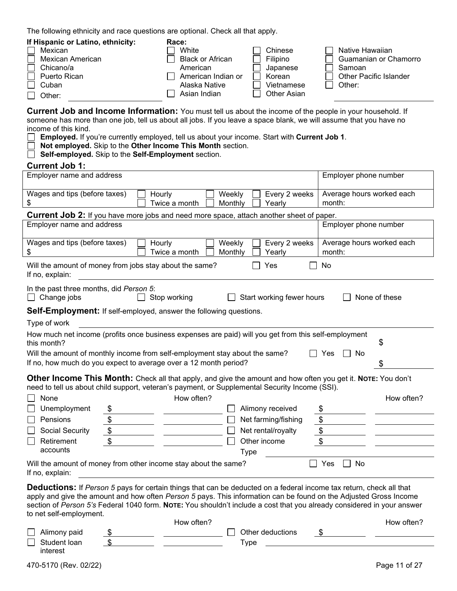The following ethnicity and race questions are optional. Check all that apply.

| If Hispanic or Latino, ethnicity: | Race:                   |                    |                               |
|-----------------------------------|-------------------------|--------------------|-------------------------------|
| Mexican                           | White                   | Chinese            | Native Hawaiian               |
| Mexican American                  | <b>Black or African</b> | Filipino           | Guamanian or Chamorro         |
| Chicano/a                         | American                | Japanese           | Samoan                        |
| Puerto Rican                      | American Indian or      | Korean             | <b>Other Pacific Islander</b> |
| Cuban                             | Alaska Native           | Vietnamese         | Other:                        |
| Other:                            | Asian Indian            | <b>Other Asian</b> |                               |

**Current Job and Income Information:** You must tell us about the income of the people in your household. If someone has more than one job, tell us about all jobs. If you leave a space blank, we will assume that you have no income of this kind.

- **Not employed.** Skip to the **Other Income This Month** section.
- **Self-employed.** Skip to the **Self-Employment** section.

### **Current Job 1:**

| GULIGIIL JOD T.                                                                                                                                                                                                                                                                                                                                                                                      |                                           |
|------------------------------------------------------------------------------------------------------------------------------------------------------------------------------------------------------------------------------------------------------------------------------------------------------------------------------------------------------------------------------------------------------|-------------------------------------------|
| Employer name and address                                                                                                                                                                                                                                                                                                                                                                            | Employer phone number                     |
| Wages and tips (before taxes)<br>Every 2 weeks<br>Hourly<br>Weekly<br>Twice a month<br>Monthly<br>Yearly<br>\$                                                                                                                                                                                                                                                                                       | Average hours worked each<br>month:       |
| <b>Current Job 2:</b> If you have more jobs and need more space, attach another sheet of paper.                                                                                                                                                                                                                                                                                                      |                                           |
| Employer name and address                                                                                                                                                                                                                                                                                                                                                                            | Employer phone number                     |
| Wages and tips (before taxes)<br>Hourly<br>Every 2 weeks<br>Weekly<br>Twice a month<br>Monthly<br>\$<br>Yearly                                                                                                                                                                                                                                                                                       | Average hours worked each<br>month:       |
| Will the amount of money from jobs stay about the same?<br>Yes<br>If no, explain:                                                                                                                                                                                                                                                                                                                    | No                                        |
| In the past three months, did Person 5:<br>Stop working<br>Change jobs<br>Start working fewer hours                                                                                                                                                                                                                                                                                                  | None of these                             |
| <b>Self-Employment:</b> If self-employed, answer the following questions.<br>Type of work                                                                                                                                                                                                                                                                                                            |                                           |
| How much net income (profits once business expenses are paid) will you get from this self-employment<br>this month?<br>Will the amount of monthly income from self-employment stay about the same?<br>If no, how much do you expect to average over a 12 month period?                                                                                                                               | \$<br>Yes<br>No.                          |
| Other Income This Month: Check all that apply, and give the amount and how often you get it. NOTE: You don't<br>need to tell us about child support, veteran's payment, or Supplemental Security Income (SSI).                                                                                                                                                                                       |                                           |
| How often?<br>None                                                                                                                                                                                                                                                                                                                                                                                   | How often?                                |
| Unemployment<br>Alimony received<br>\$                                                                                                                                                                                                                                                                                                                                                               | \$                                        |
| \$<br>Pensions<br>Net farming/fishing                                                                                                                                                                                                                                                                                                                                                                | $\boldsymbol{\$}$                         |
| $\, \, \$$<br>Social Security<br>Net rental/royalty                                                                                                                                                                                                                                                                                                                                                  | $\, \, \raisebox{12pt}{$\scriptstyle \$}$ |
| \$<br>Retirement<br>Other income                                                                                                                                                                                                                                                                                                                                                                     | $\mathsf{\$}$                             |
| accounts<br><b>Type</b>                                                                                                                                                                                                                                                                                                                                                                              |                                           |
| Will the amount of money from other income stay about the same?<br>If no, explain:                                                                                                                                                                                                                                                                                                                   | Yes<br>No                                 |
| <b>Deductions:</b> If Person 5 pays for certain things that can be deducted on a federal income tax return, check all that<br>apply and give the amount and how often Person 5 pays. This information can be found on the Adjusted Gross Income<br>section of Person 5's Federal 1040 form. NOTE: You shouldn't include a cost that you already considered in your answer<br>to net self-employment. |                                           |
| How often?                                                                                                                                                                                                                                                                                                                                                                                           | How often?                                |

|              | ו וטאי טונ <del>כ</del> ווי | ו וטאי טונ <del>כ</del> ווי |
|--------------|-----------------------------|-----------------------------|
| Alimony paid | Other deductions            |                             |
| Student Ioan | Туре                        |                             |
| interest     |                             |                             |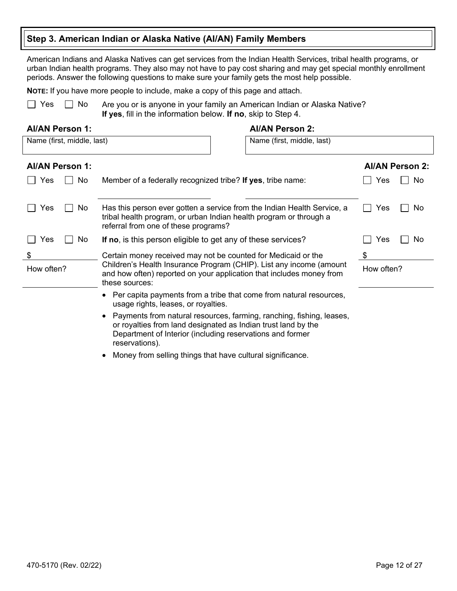# **Step 3. American Indian or Alaska Native (AI/AN) Family Members**

American Indians and Alaska Natives can get services from the Indian Health Services, tribal health programs, or urban Indian health programs. They also may not have to pay cost sharing and may get special monthly enrollment periods. Answer the following questions to make sure your family gets the most help possible.

**NOTE:** If you have more people to include, make a copy of this page and attach.

 $\Box$  Yes  $\Box$  No Are you or is anyone in your family an American Indian or Alaska Native? **If yes**, fill in the information below. **If no**, skip to Step 4.

**AI/AN Person 1: AI/AN Person 2:**

| Name (first, middle, last) |                                                                                                                                                                                       | Name (first, middle, last)                                                                                                                                                                         |                        |
|----------------------------|---------------------------------------------------------------------------------------------------------------------------------------------------------------------------------------|----------------------------------------------------------------------------------------------------------------------------------------------------------------------------------------------------|------------------------|
| <b>AI/AN Person 1:</b>     |                                                                                                                                                                                       |                                                                                                                                                                                                    | <b>AI/AN Person 2:</b> |
| No.<br>Yes                 | Member of a federally recognized tribe? If yes, tribe name:                                                                                                                           |                                                                                                                                                                                                    | No.<br>Yes             |
| No.<br>Yes                 | Has this person ever gotten a service from the Indian Health Service, a<br>tribal health program, or urban Indian health program or through a<br>referral from one of these programs? | No<br>Yes                                                                                                                                                                                          |                        |
| No.<br>Yes                 | If no, is this person eligible to get any of these services?                                                                                                                          | <b>No</b><br>Yes                                                                                                                                                                                   |                        |
|                            | Certain money received may not be counted for Medicaid or the                                                                                                                         | \$                                                                                                                                                                                                 |                        |
| How often?                 | these sources:                                                                                                                                                                        | Children's Health Insurance Program (CHIP). List any income (amount<br>and how often) reported on your application that includes money from                                                        | How often?             |
|                            | $\bullet$<br>usage rights, leases, or royalties.                                                                                                                                      | Per capita payments from a tribe that come from natural resources,                                                                                                                                 |                        |
|                            | $\bullet$<br>reservations).                                                                                                                                                           | Payments from natural resources, farming, ranching, fishing, leases,<br>or royalties from land designated as Indian trust land by the<br>Department of Interior (including reservations and former |                        |

• Money from selling things that have cultural significance.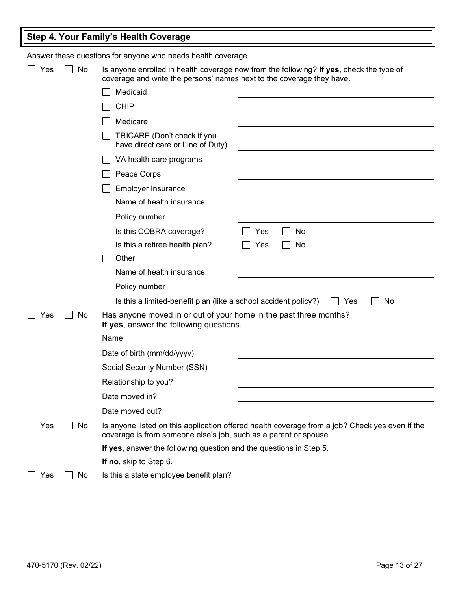# **Step 4. Your Family's Health Coverage**

|     |     | Answer these questions for anyone who needs health coverage.                                                 |                                                                                                |
|-----|-----|--------------------------------------------------------------------------------------------------------------|------------------------------------------------------------------------------------------------|
| Yes | No  | coverage and write the persons' names next to the coverage they have.                                        | Is anyone enrolled in health coverage now from the following? If yes, check the type of        |
|     |     | Medicaid                                                                                                     |                                                                                                |
|     |     | <b>CHIP</b>                                                                                                  |                                                                                                |
|     |     | Medicare                                                                                                     |                                                                                                |
|     |     | TRICARE (Don't check if you<br>have direct care or Line of Duty)                                             |                                                                                                |
|     |     | VA health care programs                                                                                      |                                                                                                |
|     |     | Peace Corps                                                                                                  |                                                                                                |
|     |     | <b>Employer Insurance</b>                                                                                    |                                                                                                |
|     |     | Name of health insurance                                                                                     |                                                                                                |
|     |     | Policy number                                                                                                |                                                                                                |
|     |     | Is this COBRA coverage?                                                                                      | No<br>Yes                                                                                      |
|     |     | Is this a retiree health plan?                                                                               | No<br>Yes                                                                                      |
|     |     | Other                                                                                                        |                                                                                                |
|     |     | Name of health insurance                                                                                     |                                                                                                |
|     |     | Policy number                                                                                                |                                                                                                |
|     |     | Is this a limited-benefit plan (like a school accident policy?)                                              | No<br>Yes                                                                                      |
| Yes | No  | Has anyone moved in or out of your home in the past three months?<br>If yes, answer the following questions. |                                                                                                |
|     |     | Name                                                                                                         |                                                                                                |
|     |     | Date of birth (mm/dd/yyyy)                                                                                   |                                                                                                |
|     |     | Social Security Number (SSN)                                                                                 |                                                                                                |
|     |     | Relationship to you?                                                                                         |                                                                                                |
|     |     | Date moved in?                                                                                               |                                                                                                |
|     |     | Date moved out?                                                                                              |                                                                                                |
| Yes | No  | coverage is from someone else's job, such as a parent or spouse.                                             | Is anyone listed on this application offered health coverage from a job? Check yes even if the |
|     |     | If yes, answer the following question and the questions in Step 5.                                           |                                                                                                |
|     |     | If no, skip to Step 6.                                                                                       |                                                                                                |
| Yes | No. | Is this a state employee benefit plan?                                                                       |                                                                                                |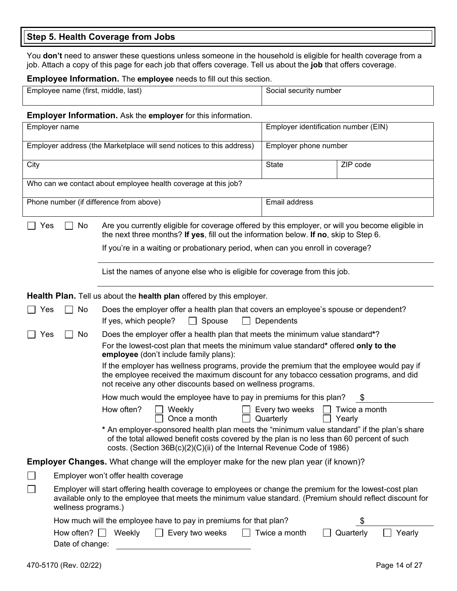# **Step 5. Health Coverage from Jobs**

You **don't** need to answer these questions unless someone in the household is eligible for health coverage from a job. Attach a copy of this page for each job that offers coverage. Tell us about the **job** that offers coverage.

### **Employee Information.** The **employee** needs to fill out this section.

| Employee name (first, middle, last) | Social security number |
|-------------------------------------|------------------------|
|                                     |                        |

### **Employer Information.** Ask the **employer** for this information.

| Employer name |                                                                                                                                                                                                                                                                   |                                                                                                                                                                                           | Employer identification number (EIN) |                     |  |
|---------------|-------------------------------------------------------------------------------------------------------------------------------------------------------------------------------------------------------------------------------------------------------------------|-------------------------------------------------------------------------------------------------------------------------------------------------------------------------------------------|--------------------------------------|---------------------|--|
|               |                                                                                                                                                                                                                                                                   | Employer address (the Marketplace will send notices to this address)                                                                                                                      | Employer phone number                |                     |  |
| City          |                                                                                                                                                                                                                                                                   |                                                                                                                                                                                           | <b>State</b>                         | ZIP code            |  |
|               |                                                                                                                                                                                                                                                                   | Who can we contact about employee health coverage at this job?                                                                                                                            |                                      |                     |  |
|               |                                                                                                                                                                                                                                                                   | Phone number (if difference from above)                                                                                                                                                   | Email address                        |                     |  |
| Yes           | No                                                                                                                                                                                                                                                                | Are you currently eligible for coverage offered by this employer, or will you become eligible in<br>the next three months? If yes, fill out the information below. If no, skip to Step 6. |                                      |                     |  |
|               |                                                                                                                                                                                                                                                                   | If you're in a waiting or probationary period, when can you enroll in coverage?                                                                                                           |                                      |                     |  |
|               |                                                                                                                                                                                                                                                                   | List the names of anyone else who is eligible for coverage from this job.                                                                                                                 |                                      |                     |  |
|               |                                                                                                                                                                                                                                                                   | <b>Health Plan.</b> Tell us about the <b>health plan</b> offered by this employer.                                                                                                        |                                      |                     |  |
| Yes           | No                                                                                                                                                                                                                                                                | Does the employer offer a health plan that covers an employee's spouse or dependent?                                                                                                      |                                      |                     |  |
|               |                                                                                                                                                                                                                                                                   | Spouse<br>If yes, which people?                                                                                                                                                           | Dependents                           |                     |  |
| Yes           | No                                                                                                                                                                                                                                                                | Does the employer offer a health plan that meets the minimum value standard*?                                                                                                             |                                      |                     |  |
|               | For the lowest-cost plan that meets the minimum value standard* offered only to the<br>employee (don't include family plans):                                                                                                                                     |                                                                                                                                                                                           |                                      |                     |  |
|               | If the employer has wellness programs, provide the premium that the employee would pay if<br>the employee received the maximum discount for any tobacco cessation programs, and did<br>not receive any other discounts based on wellness programs.                |                                                                                                                                                                                           |                                      |                     |  |
|               |                                                                                                                                                                                                                                                                   | How much would the employee have to pay in premiums for this plan?                                                                                                                        |                                      | \$                  |  |
|               | How often?<br>Weekly<br>Every two weeks<br>Twice a month<br>Once a month<br>Quarterly<br>Yearly                                                                                                                                                                   |                                                                                                                                                                                           |                                      |                     |  |
|               | * An employer-sponsored health plan meets the "minimum value standard" if the plan's share<br>of the total allowed benefit costs covered by the plan is no less than 60 percent of such<br>costs. (Section 36B(c)(2)(C)(ii) of the Internal Revenue Code of 1986) |                                                                                                                                                                                           |                                      |                     |  |
|               | <b>Employer Changes.</b> What change will the employer make for the new plan year (if known)?                                                                                                                                                                     |                                                                                                                                                                                           |                                      |                     |  |
|               |                                                                                                                                                                                                                                                                   | Employer won't offer health coverage                                                                                                                                                      |                                      |                     |  |
|               | Employer will start offering health coverage to employees or change the premium for the lowest-cost plan<br>available only to the employee that meets the minimum value standard. (Premium should reflect discount for<br>wellness programs.)                     |                                                                                                                                                                                           |                                      |                     |  |
|               |                                                                                                                                                                                                                                                                   | How much will the employee have to pay in premiums for that plan?                                                                                                                         |                                      | \$                  |  |
|               |                                                                                                                                                                                                                                                                   | How often? Weekly<br>Every two weeks                                                                                                                                                      | Twice a month                        | Quarterly<br>Yearly |  |
|               | Date of change:                                                                                                                                                                                                                                                   |                                                                                                                                                                                           |                                      |                     |  |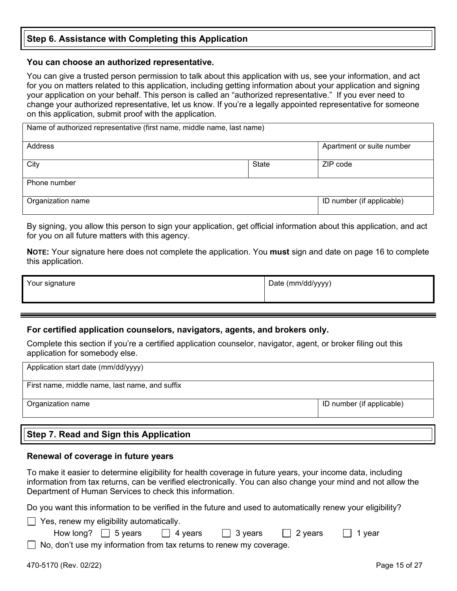# **Step 6. Assistance with Completing this Application**

### **You can choose an authorized representative.**

You can give a trusted person permission to talk about this application with us, see your information, and act for you on matters related to this application, including getting information about your application and signing your application on your behalf. This person is called an "authorized representative." If you ever need to change your authorized representative, let us know. If you're a legally appointed representative for someone on this application, submit proof with the application.

| Name of authorized representative (first name, middle name, last name) |       |                           |
|------------------------------------------------------------------------|-------|---------------------------|
| Address                                                                |       | Apartment or suite number |
| City                                                                   | State | ZIP code                  |
| Phone number                                                           |       |                           |
| Organization name                                                      |       | ID number (if applicable) |

By signing, you allow this person to sign your application, get official information about this application, and act for you on all future matters with this agency.

**NOTE:** Your signature here does not complete the application. You **must** sign and date on page 16 to complete this application.

| Your signature | Date (mm/dd/yyyy) |
|----------------|-------------------|
|                |                   |

### **For certified application counselors, navigators, agents, and brokers only.**

Complete this section if you're a certified application counselor, navigator, agent, or broker filing out this application for somebody else.

| Application start date (mm/dd/yyyy)            |                           |
|------------------------------------------------|---------------------------|
| First name, middle name, last name, and suffix |                           |
| Organization name                              | ID number (if applicable) |
|                                                |                           |

# **Step 7. Read and Sign this Application**

### **Renewal of coverage in future years**

To make it easier to determine eligibility for health coverage in future years, your income data, including information from tax returns, can be verified electronically. You can also change your mind and not allow the Department of Human Services to check this information.

Do you want this information to be verified in the future and used to automatically renew your eligibility?

| $\Box$ Yes, renew my eligibility automatically. |                                                                                     |  |  |
|-------------------------------------------------|-------------------------------------------------------------------------------------|--|--|
|                                                 | How long? $\Box$ 5 years $\Box$ 4 years $\Box$ 3 years $\Box$ 2 years $\Box$ 1 year |  |  |
|                                                 |                                                                                     |  |  |

 $\Box$  No, don't use my information from tax returns to renew my coverage.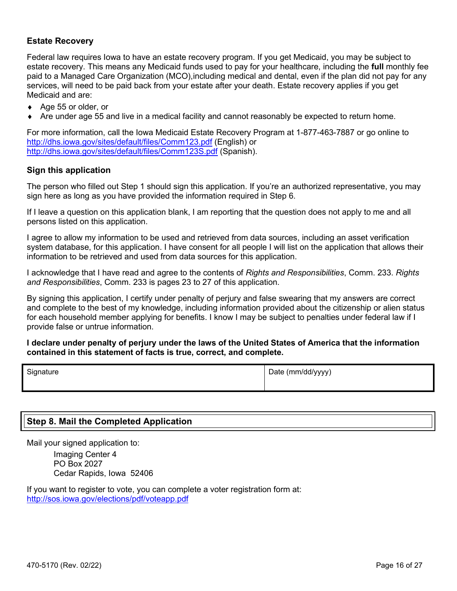### **Estate Recovery**

Federal law requires Iowa to have an estate recovery program. If you get Medicaid, you may be subject to estate recovery. This means any Medicaid funds used to pay for your healthcare, including the **full** monthly fee paid to a Managed Care Organization (MCO),including medical and dental, even if the plan did not pay for any services, will need to be paid back from your estate after your death. Estate recovery applies if you get Medicaid and are:

- Age 55 or older, or
- Are under age 55 and live in a medical facility and cannot reasonably be expected to return home.

For more information, call the Iowa Medicaid Estate Recovery Program at 1-877-463-7887 or go online to <http://dhs.iowa.gov/sites/default/files/Comm123.pdf> (English) or <http://dhs.iowa.gov/sites/default/files/Comm123S.pdf> (Spanish).

### **Sign this application**

The person who filled out Step 1 should sign this application. If you're an authorized representative, you may sign here as long as you have provided the information required in Step 6.

If I leave a question on this application blank, I am reporting that the question does not apply to me and all persons listed on this application.

I agree to allow my information to be used and retrieved from data sources, including an asset verification system database, for this application. I have consent for all people I will list on the application that allows their information to be retrieved and used from data sources for this application.

I acknowledge that I have read and agree to the contents of *Rights and Responsibilities*, Comm. 233. *Rights and Responsibilities*, Comm. 233 is pages 23 to 27 of this application.

By signing this application, I certify under penalty of perjury and false swearing that my answers are correct and complete to the best of my knowledge, including information provided about the citizenship or alien status for each household member applying for benefits. I know I may be subject to penalties under federal law if I provide false or untrue information.

### **I declare under penalty of perjury under the laws of the United States of America that the information contained in this statement of facts is true, correct, and complete.**

| Signature |
|-----------|
|-----------|

Date (mm/dd/yyyy)

# **Step 8. Mail the Completed Application**

Mail your signed application to:

Imaging Center 4 PO Box 2027 Cedar Rapids, Iowa 52406

If you want to register to vote, you can complete a voter registration form at: <http://sos.iowa.gov/elections/pdf/voteapp.pdf>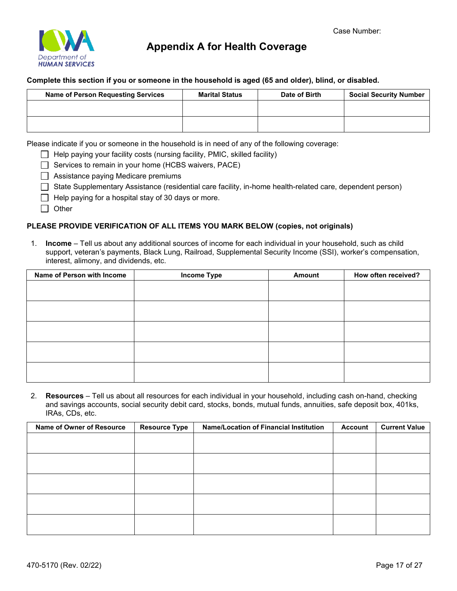

# **Appendix A for Health Coverage**

#### **Complete this section if you or someone in the household is aged (65 and older), blind, or disabled.**

| <b>Name of Person Requesting Services</b> | <b>Marital Status</b> | Date of Birth | <b>Social Security Number</b> |
|-------------------------------------------|-----------------------|---------------|-------------------------------|
|                                           |                       |               |                               |
|                                           |                       |               |                               |
|                                           |                       |               |                               |

Please indicate if you or someone in the household is in need of any of the following coverage:

 $\Box$  Help paying your facility costs (nursing facility, PMIC, skilled facility)

 $\Box$  Services to remain in your home (HCBS waivers, PACE)

□ Assistance paying Medicare premiums

State Supplementary Assistance (residential care facility, in-home health-related care, dependent person)

 $\Box$  Help paying for a hospital stay of 30 days or more.

 $\Box$  Other

#### **PLEASE PROVIDE VERIFICATION OF ALL ITEMS YOU MARK BELOW (copies, not originals)**

1. **Income** – Tell us about any additional sources of income for each individual in your household, such as child support, veteran's payments, Black Lung, Railroad, Supplemental Security Income (SSI), worker's compensation, interest, alimony, and dividends, etc.

| Name of Person with Income | <b>Income Type</b> | <b>Amount</b> | How often received? |
|----------------------------|--------------------|---------------|---------------------|
|                            |                    |               |                     |
|                            |                    |               |                     |
|                            |                    |               |                     |
|                            |                    |               |                     |
|                            |                    |               |                     |
|                            |                    |               |                     |
|                            |                    |               |                     |
|                            |                    |               |                     |
|                            |                    |               |                     |
|                            |                    |               |                     |

2. **Resources** – Tell us about all resources for each individual in your household, including cash on-hand, checking and savings accounts, social security debit card, stocks, bonds, mutual funds, annuities, safe deposit box, 401ks, IRAs, CDs, etc.

| Name of Owner of Resource | <b>Resource Type</b> | <b>Name/Location of Financial Institution</b> | <b>Account</b> | <b>Current Value</b> |
|---------------------------|----------------------|-----------------------------------------------|----------------|----------------------|
|                           |                      |                                               |                |                      |
|                           |                      |                                               |                |                      |
|                           |                      |                                               |                |                      |
|                           |                      |                                               |                |                      |
|                           |                      |                                               |                |                      |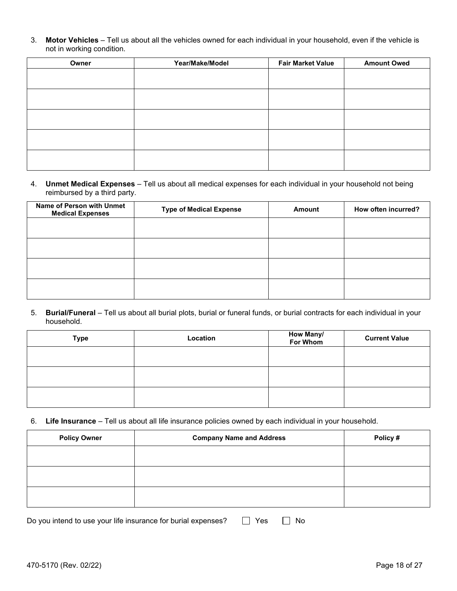3. **Motor Vehicles** – Tell us about all the vehicles owned for each individual in your household, even if the vehicle is not in working condition.

| Owner | Year/Make/Model | <b>Fair Market Value</b> | <b>Amount Owed</b> |
|-------|-----------------|--------------------------|--------------------|
|       |                 |                          |                    |
|       |                 |                          |                    |
|       |                 |                          |                    |
|       |                 |                          |                    |
|       |                 |                          |                    |
|       |                 |                          |                    |
|       |                 |                          |                    |
|       |                 |                          |                    |
|       |                 |                          |                    |
|       |                 |                          |                    |

4. **Unmet Medical Expenses** – Tell us about all medical expenses for each individual in your household not being reimbursed by a third party.

| Name of Person with Unmet<br><b>Medical Expenses</b> | <b>Type of Medical Expense</b> | Amount | How often incurred? |
|------------------------------------------------------|--------------------------------|--------|---------------------|
|                                                      |                                |        |                     |
|                                                      |                                |        |                     |
|                                                      |                                |        |                     |
|                                                      |                                |        |                     |

5. **Burial/Funeral** – Tell us about all burial plots, burial or funeral funds, or burial contracts for each individual in your household.

| Type | Location | How Many/<br>For Whom | <b>Current Value</b> |  |
|------|----------|-----------------------|----------------------|--|
|      |          |                       |                      |  |
|      |          |                       |                      |  |
|      |          |                       |                      |  |

6. **Life Insurance** – Tell us about all life insurance policies owned by each individual in your household.

| <b>Policy Owner</b> | <b>Company Name and Address</b> | Policy# |  |
|---------------------|---------------------------------|---------|--|
|                     |                                 |         |  |
|                     |                                 |         |  |
|                     |                                 |         |  |

Do you intend to use your life insurance for burial expenses?  $\Box$  Yes  $\Box$  No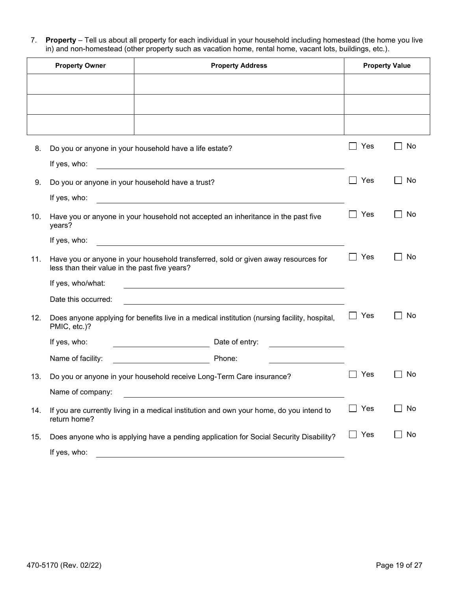7. **Property** – Tell us about all property for each individual in your household including homestead (the home you live in) and non-homestead (other property such as vacation home, rental home, vacant lots, buildings, etc.).

| <b>Property Owner</b><br><b>Property Address</b> |                                                                                                                                     |                                                                                                                      | <b>Property Value</b> |                  |
|--------------------------------------------------|-------------------------------------------------------------------------------------------------------------------------------------|----------------------------------------------------------------------------------------------------------------------|-----------------------|------------------|
|                                                  |                                                                                                                                     |                                                                                                                      |                       |                  |
|                                                  |                                                                                                                                     |                                                                                                                      |                       |                  |
|                                                  |                                                                                                                                     |                                                                                                                      |                       |                  |
| 8.                                               |                                                                                                                                     | Do you or anyone in your household have a life estate?                                                               | Yes                   | No               |
|                                                  | If yes, who:                                                                                                                        |                                                                                                                      |                       |                  |
| 9.                                               | Do you or anyone in your household have a trust?                                                                                    |                                                                                                                      |                       | No<br>Yes        |
|                                                  | If yes, who:                                                                                                                        | <u> 1980 - Andrea Barbara, poeta esperanto-poeta esperanto-poeta esperanto-poeta esperanto-poeta esperanto-poeta</u> |                       |                  |
| 10.                                              | Have you or anyone in your household not accepted an inheritance in the past five<br>years?                                         |                                                                                                                      |                       | Yes<br>No        |
|                                                  | If yes, who:                                                                                                                        |                                                                                                                      |                       |                  |
| 11.                                              | Have you or anyone in your household transferred, sold or given away resources for<br>less than their value in the past five years? |                                                                                                                      |                       | Yes<br>No        |
|                                                  | If yes, who/what:                                                                                                                   | <u> 1980 - Johann Barn, mars ann an t-Amhain Aonaich an t-Aonaich an t-Aonaich ann an t-Aonaich ann an t-Aonaich</u> |                       |                  |
|                                                  | Date this occurred:                                                                                                                 |                                                                                                                      |                       |                  |
| 12.                                              | T Yes<br>Does anyone applying for benefits live in a medical institution (nursing facility, hospital,<br>PMIC, etc.)?               |                                                                                                                      |                       | No               |
|                                                  | If yes, who:                                                                                                                        | Date of entry:                                                                                                       |                       |                  |
|                                                  | Name of facility:                                                                                                                   | Phone:                                                                                                               |                       |                  |
| 13.                                              |                                                                                                                                     | Do you or anyone in your household receive Long-Term Care insurance?                                                 | Yes                   | No               |
|                                                  | Name of company:                                                                                                                    |                                                                                                                      |                       |                  |
| 14.                                              | return home?                                                                                                                        | If you are currently living in a medical institution and own your home, do you intend to                             |                       | $\Box$ Yes<br>No |
| 15.                                              |                                                                                                                                     | Does anyone who is applying have a pending application for Social Security Disability?                               | $\Box$ Yes            | No               |
|                                                  | If yes, who:                                                                                                                        |                                                                                                                      |                       |                  |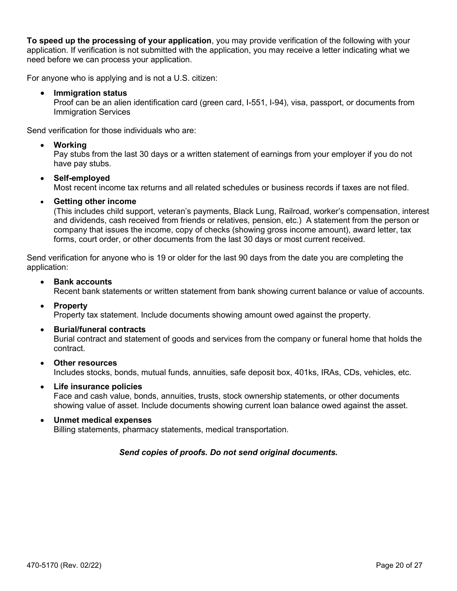**To speed up the processing of your application**, you may provide verification of the following with your application. If verification is not submitted with the application, you may receive a letter indicating what we need before we can process your application.

For anyone who is applying and is not a U.S. citizen:

### • **Immigration status**

Proof can be an alien identification card (green card, I-551, I-94), visa, passport, or documents from Immigration Services

Send verification for those individuals who are:

### • **Working**

Pay stubs from the last 30 days or a written statement of earnings from your employer if you do not have pay stubs.

### • **Self-employed**

Most recent income tax returns and all related schedules or business records if taxes are not filed.

### • **Getting other income**

(This includes child support, veteran's payments, Black Lung, Railroad, worker's compensation, interest and dividends, cash received from friends or relatives, pension, etc.) A statement from the person or company that issues the income, copy of checks (showing gross income amount), award letter, tax forms, court order, or other documents from the last 30 days or most current received.

Send verification for anyone who is 19 or older for the last 90 days from the date you are completing the application:

### • **Bank accounts**

Recent bank statements or written statement from bank showing current balance or value of accounts.

### • **Property**

Property tax statement. Include documents showing amount owed against the property.

### • **Burial/funeral contracts**

Burial contract and statement of goods and services from the company or funeral home that holds the contract.

#### • **Other resources** Includes stocks, bonds, mutual funds, annuities, safe deposit box, 401ks, IRAs, CDs, vehicles, etc.

### • **Life insurance policies**

Face and cash value, bonds, annuities, trusts, stock ownership statements, or other documents showing value of asset. Include documents showing current loan balance owed against the asset.

### • **Unmet medical expenses**

Billing statements, pharmacy statements, medical transportation.

### *Send copies of proofs. Do not send original documents.*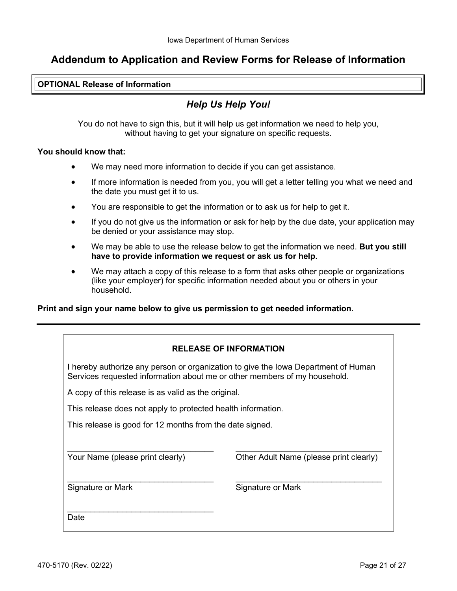# **Addendum to Application and Review Forms for Release of Information**

### **OPTIONAL Release of Information**

# *Help Us Help You!*

You do not have to sign this, but it will help us get information we need to help you, without having to get your signature on specific requests.

#### **You should know that:**

- We may need more information to decide if you can get assistance.
- If more information is needed from you, you will get a letter telling you what we need and the date you must get it to us.
- You are responsible to get the information or to ask us for help to get it.
- If you do not give us the information or ask for help by the due date, your application may be denied or your assistance may stop.
- We may be able to use the release below to get the information we need. **But you still have to provide information we request or ask us for help.**
- We may attach a copy of this release to a form that asks other people or organizations (like your employer) for specific information needed about you or others in your household.

#### **Print and sign your name below to give us permission to get needed information.**

|  | <b>RELEASE OF INFORMATION</b> |
|--|-------------------------------|

I hereby authorize any person or organization to give the Iowa Department of Human Services requested information about me or other members of my household.

 $\mathcal{L}_\text{max}$  , and the contribution of the contribution of the contribution of the contribution of the contribution of the contribution of the contribution of the contribution of the contribution of the contribution of t

A copy of this release is as valid as the original.

This release does not apply to protected health information.

This release is good for 12 months from the date signed.

 $\mathcal{L}_\text{max}$  , and the contribution of the contribution of the contribution of the contribution of the contribution of the contribution of the contribution of the contribution of the contribution of the contribution of t

 $\mathcal{L}_\text{max}$  , where  $\mathcal{L}_\text{max}$  is the set of the set of the set of the set of the set of the set of the set of the set of the set of the set of the set of the set of the set of the set of the set of the set of the se

Your Name (please print clearly) Other Adult Name (please print clearly)

Signature or Mark Signature or Mark

Date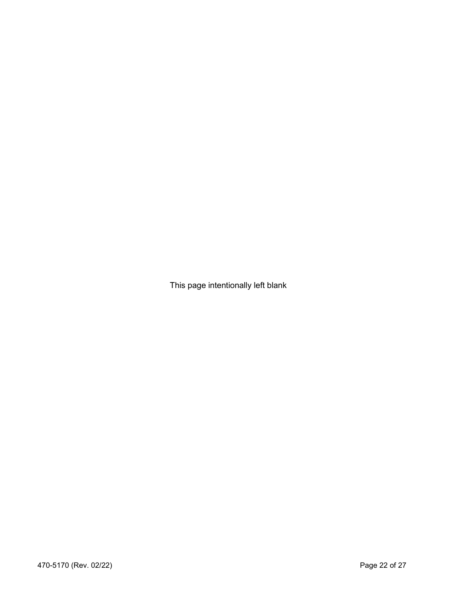This page intentionally left blank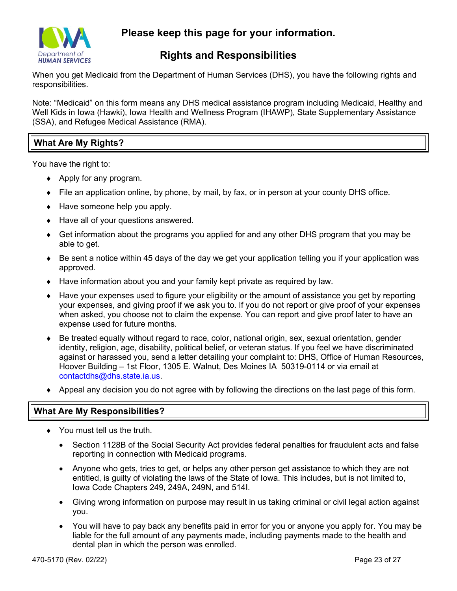

# **Please keep this page for your information.**

# **Rights and Responsibilities**

When you get Medicaid from the Department of Human Services (DHS), you have the following rights and responsibilities.

Note: "Medicaid" on this form means any DHS medical assistance program including Medicaid, Healthy and Well Kids in Iowa (Hawki), Iowa Health and Wellness Program (IHAWP), State Supplementary Assistance (SSA), and Refugee Medical Assistance (RMA).

# **What Are My Rights?**

You have the right to:

- $\leftrightarrow$  Apply for any program.
- File an application online, by phone, by mail, by fax, or in person at your county DHS office.
- $\leftrightarrow$  Have someone help you apply.
- $\bullet$  Have all of your questions answered.
- Get information about the programs you applied for and any other DHS program that you may be able to get.
- Be sent a notice within 45 days of the day we get your application telling you if your application was approved.
- Have information about you and your family kept private as required by law.
- Have your expenses used to figure your eligibility or the amount of assistance you get by reporting your expenses, and giving proof if we ask you to. If you do not report or give proof of your expenses when asked, you choose not to claim the expense. You can report and give proof later to have an expense used for future months.
- Be treated equally without regard to race, color, national origin, sex, sexual orientation, gender identity, religion, age, disability, political belief, or veteran status. If you feel we have discriminated against or harassed you, send a letter detailing your complaint to: DHS, Office of Human Resources, Hoover Building – 1st Floor, 1305 E. Walnut, Des Moines IA 50319-0114 or via email at [contactdhs@dhs.state.ia.us.](mailto:contactdhs@dhs.state.ia.us)
- Appeal any decision you do not agree with by following the directions on the last page of this form.

### **What Are My Responsibilities?**

- ◆ You must tell us the truth.
	- Section 1128B of the Social Security Act provides federal penalties for fraudulent acts and false reporting in connection with Medicaid programs.
	- Anyone who gets, tries to get, or helps any other person get assistance to which they are not entitled, is guilty of violating the laws of the State of Iowa. This includes, but is not limited to, Iowa Code Chapters 249, 249A, 249N, and 514I.
	- Giving wrong information on purpose may result in us taking criminal or civil legal action against you.
	- You will have to pay back any benefits paid in error for you or anyone you apply for. You may be liable for the full amount of any payments made, including payments made to the health and dental plan in which the person was enrolled.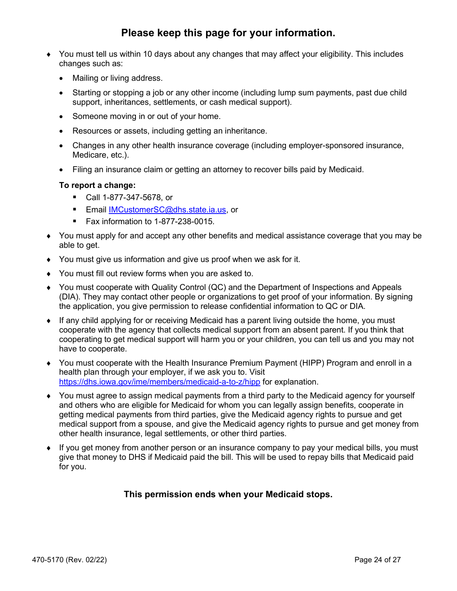# **Please keep this page for your information.**

- You must tell us within 10 days about any changes that may affect your eligibility. This includes changes such as:
	- Mailing or living address.
	- Starting or stopping a job or any other income (including lump sum payments, past due child support, inheritances, settlements, or cash medical support).
	- Someone moving in or out of your home.
	- Resources or assets, including getting an inheritance.
	- Changes in any other health insurance coverage (including employer-sponsored insurance, Medicare, etc.).
	- Filing an insurance claim or getting an attorney to recover bills paid by Medicaid.

### **To report a change:**

- Call 1-877-347-5678, or
- Email [IMCustomerSC@dhs.state.ia.us,](mailto:IMCustomerSC@dhs.state.ia.us) or
- Fax information to 1-877-238-0015.
- You must apply for and accept any other benefits and medical assistance coverage that you may be able to get.
- You must give us information and give us proof when we ask for it.
- You must fill out review forms when you are asked to.
- You must cooperate with Quality Control (QC) and the Department of Inspections and Appeals (DIA). They may contact other people or organizations to get proof of your information. By signing the application, you give permission to release confidential information to QC or DIA.
- If any child applying for or receiving Medicaid has a parent living outside the home, you must cooperate with the agency that collects medical support from an absent parent. If you think that cooperating to get medical support will harm you or your children, you can tell us and you may not have to cooperate.
- You must cooperate with the Health Insurance Premium Payment (HIPP) Program and enroll in a health plan through your employer, if we ask you to. Visit <https://dhs.iowa.gov/ime/members/medicaid-a-to-z/hipp> for explanation.
- You must agree to assign medical payments from a third party to the Medicaid agency for yourself and others who are eligible for Medicaid for whom you can legally assign benefits, cooperate in getting medical payments from third parties, give the Medicaid agency rights to pursue and get medical support from a spouse, and give the Medicaid agency rights to pursue and get money from other health insurance, legal settlements, or other third parties.
- If you get money from another person or an insurance company to pay your medical bills, you must give that money to DHS if Medicaid paid the bill. This will be used to repay bills that Medicaid paid for you.

# **This permission ends when your Medicaid stops.**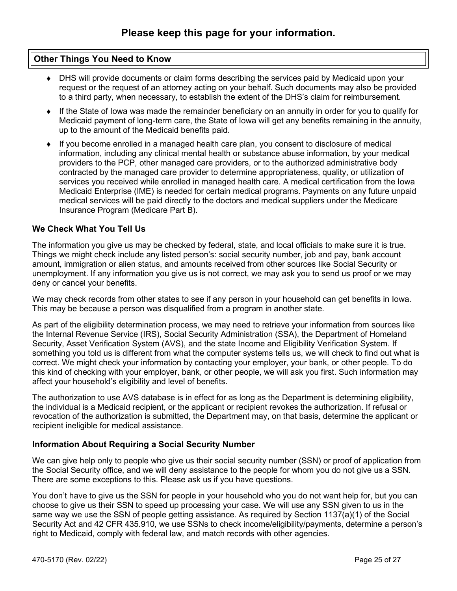# **Other Things You Need to Know**

- DHS will provide documents or claim forms describing the services paid by Medicaid upon your request or the request of an attorney acting on your behalf. Such documents may also be provided to a third party, when necessary, to establish the extent of the DHS's claim for reimbursement.
- If the State of Iowa was made the remainder beneficiary on an annuity in order for you to qualify for Medicaid payment of long-term care, the State of Iowa will get any benefits remaining in the annuity, up to the amount of the Medicaid benefits paid.
- If you become enrolled in a managed health care plan, you consent to disclosure of medical information, including any clinical mental health or substance abuse information, by your medical providers to the PCP, other managed care providers, or to the authorized administrative body contracted by the managed care provider to determine appropriateness, quality, or utilization of services you received while enrolled in managed health care. A medical certification from the Iowa Medicaid Enterprise (IME) is needed for certain medical programs. Payments on any future unpaid medical services will be paid directly to the doctors and medical suppliers under the Medicare Insurance Program (Medicare Part B).

### **We Check What You Tell Us**

The information you give us may be checked by federal, state, and local officials to make sure it is true. Things we might check include any listed person's: social security number, job and pay, bank account amount, immigration or alien status, and amounts received from other sources like Social Security or unemployment. If any information you give us is not correct, we may ask you to send us proof or we may deny or cancel your benefits.

We may check records from other states to see if any person in your household can get benefits in Iowa. This may be because a person was disqualified from a program in another state.

As part of the eligibility determination process, we may need to retrieve your information from sources like the Internal Revenue Service (IRS), Social Security Administration (SSA), the Department of Homeland Security, Asset Verification System (AVS), and the state Income and Eligibility Verification System. If something you told us is different from what the computer systems tells us, we will check to find out what is correct. We might check your information by contacting your employer, your bank, or other people. To do this kind of checking with your employer, bank, or other people, we will ask you first. Such information may affect your household's eligibility and level of benefits.

The authorization to use AVS database is in effect for as long as the Department is determining eligibility, the individual is a Medicaid recipient, or the applicant or recipient revokes the authorization. If refusal or revocation of the authorization is submitted, the Department may, on that basis, determine the applicant or recipient ineligible for medical assistance.

### **Information About Requiring a Social Security Number**

We can give help only to people who give us their social security number (SSN) or proof of application from the Social Security office, and we will deny assistance to the people for whom you do not give us a SSN. There are some exceptions to this. Please ask us if you have questions.

You don't have to give us the SSN for people in your household who you do not want help for, but you can choose to give us their SSN to speed up processing your case. We will use any SSN given to us in the same way we use the SSN of people getting assistance. As required by Section 1137(a)(1) of the Social Security Act and 42 CFR 435.910, we use SSNs to check income/eligibility/payments, determine a person's right to Medicaid, comply with federal law, and match records with other agencies.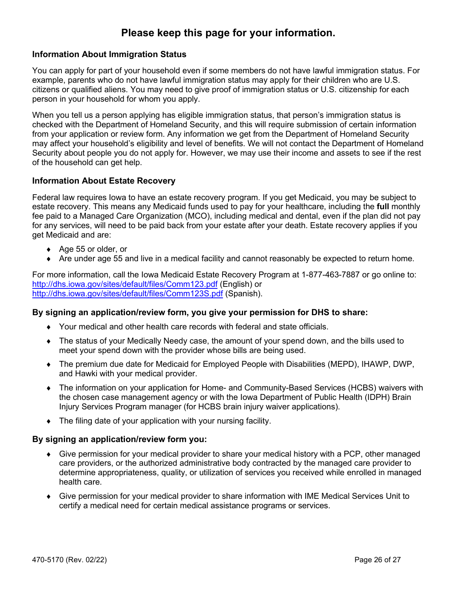# **Please keep this page for your information.**

### **Information About Immigration Status**

You can apply for part of your household even if some members do not have lawful immigration status. For example, parents who do not have lawful immigration status may apply for their children who are U.S. citizens or qualified aliens. You may need to give proof of immigration status or U.S. citizenship for each person in your household for whom you apply.

When you tell us a person applying has eligible immigration status, that person's immigration status is checked with the Department of Homeland Security, and this will require submission of certain information from your application or review form. Any information we get from the Department of Homeland Security may affect your household's eligibility and level of benefits. We will not contact the Department of Homeland Security about people you do not apply for. However, we may use their income and assets to see if the rest of the household can get help.

### **Information About Estate Recovery**

Federal law requires Iowa to have an estate recovery program. If you get Medicaid, you may be subject to estate recovery. This means any Medicaid funds used to pay for your healthcare, including the **full** monthly fee paid to a Managed Care Organization (MCO), including medical and dental, even if the plan did not pay for any services, will need to be paid back from your estate after your death. Estate recovery applies if you get Medicaid and are:

- ◆ Age 55 or older, or
- Are under age 55 and live in a medical facility and cannot reasonably be expected to return home.

For more information, call the Iowa Medicaid Estate Recovery Program at 1-877-463-7887 or go online to: <http://dhs.iowa.gov/sites/default/files/Comm123.pdf> (English) or <http://dhs.iowa.gov/sites/default/files/Comm123S.pdf> (Spanish).

### **By signing an application/review form, you give your permission for DHS to share:**

- Your medical and other health care records with federal and state officials.
- The status of your Medically Needy case, the amount of your spend down, and the bills used to meet your spend down with the provider whose bills are being used.
- The premium due date for Medicaid for Employed People with Disabilities (MEPD), IHAWP, DWP, and Hawki with your medical provider.
- The information on your application for Home- and Community-Based Services (HCBS) waivers with the chosen case management agency or with the Iowa Department of Public Health (IDPH) Brain Injury Services Program manager (for HCBS brain injury waiver applications).
- The filing date of your application with your nursing facility.

### **By signing an application/review form you:**

- Give permission for your medical provider to share your medical history with a PCP, other managed care providers, or the authorized administrative body contracted by the managed care provider to determine appropriateness, quality, or utilization of services you received while enrolled in managed health care.
- Give permission for your medical provider to share information with IME Medical Services Unit to certify a medical need for certain medical assistance programs or services.